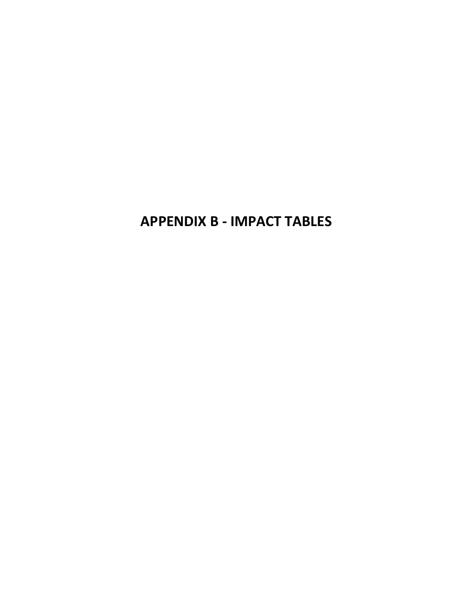**APPENDIX B - IMPACT TABLES**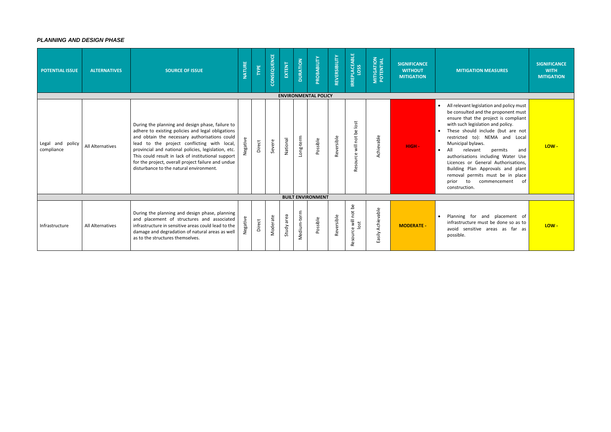## *PLANNING AND DESIGN PHASE*

| <b>POTENTIAL ISSUE</b>            | <b>ALTERNATIVES</b>     | <b>SOURCE OF ISSUE</b>                                                                                                                                                                                                                                                                                                                                                                                              | <b>NATURE</b> | TYPE   | CONSEQUENCE | EXTENT        | <b>DURATION</b> | PROBABILITY                 | REVERSIBILITY | <b>IRREPLACEABLE</b><br><b>LOSS</b> | <b>MITIGATION<br/>POTENTIAL</b> | <b>SIGNIFICANCE</b><br><b>WITHOUT</b><br><b>MITIGATION</b> | <b>MITIGAT</b>                                                                                                                                                                                                                 |
|-----------------------------------|-------------------------|---------------------------------------------------------------------------------------------------------------------------------------------------------------------------------------------------------------------------------------------------------------------------------------------------------------------------------------------------------------------------------------------------------------------|---------------|--------|-------------|---------------|-----------------|-----------------------------|---------------|-------------------------------------|---------------------------------|------------------------------------------------------------|--------------------------------------------------------------------------------------------------------------------------------------------------------------------------------------------------------------------------------|
|                                   |                         |                                                                                                                                                                                                                                                                                                                                                                                                                     |               |        |             |               |                 | <b>ENVIRONMENTAL POLICY</b> |               |                                     |                                 |                                                            |                                                                                                                                                                                                                                |
| Legal and<br>policy<br>compliance | <b>All Alternatives</b> | During the planning and design phase, failure to<br>adhere to existing policies and legal obligations<br>and obtain the necessary authorisations could<br>lead to the project conflicting with local,<br>provincial and national policies, legislation, etc.<br>This could result in lack of institutional support<br>for the project, overall project failure and undue<br>disturbance to the natural environment. | Vegative      | Direct | Severe      | National      | Long-term       | Possible                    | Reversible    | Resource will not be lost           | Achievable                      | $HIGH -$                                                   | All relevant le<br>be consulted<br>ensure that<br>with such leg<br>These shoul<br>restricted t<br>Municipal by<br>All<br>releva<br>authorisatior<br>Licences or<br>Building Pla<br>removal per<br>prior<br>to<br>construction. |
|                                   |                         |                                                                                                                                                                                                                                                                                                                                                                                                                     |               |        |             |               |                 | <b>BUILT ENVIRONMENT</b>    |               |                                     |                                 |                                                            |                                                                                                                                                                                                                                |
| Infrastructure                    | All Alternatives        | During the planning and design phase, planning<br>and placement of structures and associated<br>infrastructure in sensitive areas could lead to the<br>damage and degradation of natural areas as well<br>as to the structures themselves.                                                                                                                                                                          | ative<br>Neg  | Direct | Moderate    | area<br>Study | Medium-term     | Possible                    | Reversible    | Resource will not be<br>lost        | Easily Achievable               | <b>MODERATE -</b>                                          | Planning fo<br>infrastructure<br>avoid sensit<br>possible.                                                                                                                                                                     |

| <b>MITIGATION MEASURES</b>                                                                                                                                                                                                                                                                                                                                                                                                                                                                   | <b>SIGNIFICANCE</b><br><b>WITH</b><br><b>MITIGATION</b> |
|----------------------------------------------------------------------------------------------------------------------------------------------------------------------------------------------------------------------------------------------------------------------------------------------------------------------------------------------------------------------------------------------------------------------------------------------------------------------------------------------|---------------------------------------------------------|
| All relevant legislation and policy must<br>be consulted and the proponent must<br>ensure that the project is compliant<br>with such legislation and policy.<br>These should include (but are not<br>restricted to): NEMA and Local<br>Municipal bylaws.<br>relevant<br>All<br>permits<br>authorisations including Water Use<br>Licences or General Authorisations,<br>Building Plan Approvals and plant<br>removal permits must be in place<br>prior<br>to<br>commencement<br>construction. | $LOW -$<br>and<br>оf                                    |
|                                                                                                                                                                                                                                                                                                                                                                                                                                                                                              |                                                         |
| Planning for and placement<br>infrastructure must be done so as to<br>avoid sensitive areas as<br>far<br>possible.                                                                                                                                                                                                                                                                                                                                                                           | ot<br>$LOW -$<br>as                                     |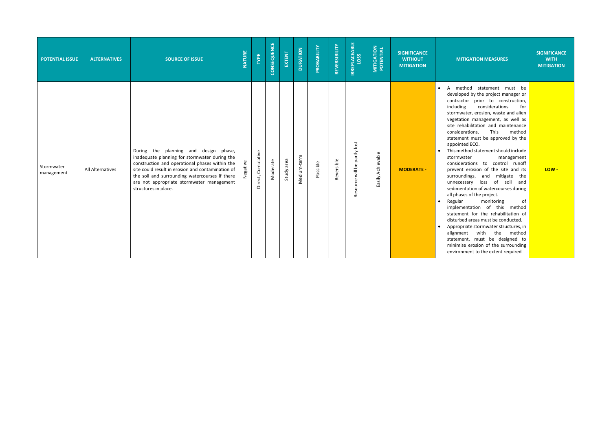**SIGNIFICANCE WITH MITIGATION**

thod statement must be ed by the project manager or tor prior to construction, ig considerations for ater, erosion, waste and alien ion management, as well as abilitation and maintenance rations. This method ent must be approved by the ed ECO.

thod statement should include<br>ater management<br>rations to control runoff erosion of the site and its dings, and mitigate the ssary loss of soil and ntation of watercourses during es of the project.

monitoring of entation of this method ent for the rehabilitation of ed areas must be conducted.

riate stormwater structures, in nt with the method ent, must be designed to se erosion of the surrounding ment to the extent required

| <b>POTENTIAL ISSUE</b>   | <b>ALTERNATIVES</b> | <b>SOURCE OF ISSUE</b>                                                                                                                                                                                                                                                                                                  | <b>NATURE</b> | TYPE               | CONSEQUENCE | EXTENT     | <b>DURATION</b> | PROBABILITY | REVERSIBILITY | <b>IRREPLACEABLE</b><br>LOSS | <b>MITIGATION<br/>POTENTIAL</b> | <b>SIGNIFICANCE</b><br><b>WITHOUT</b><br><b>MITIGATION</b> | <b>MIT</b>                                                                                                                                                                                                                                                                                                                                                        |
|--------------------------|---------------------|-------------------------------------------------------------------------------------------------------------------------------------------------------------------------------------------------------------------------------------------------------------------------------------------------------------------------|---------------|--------------------|-------------|------------|-----------------|-------------|---------------|------------------------------|---------------------------------|------------------------------------------------------------|-------------------------------------------------------------------------------------------------------------------------------------------------------------------------------------------------------------------------------------------------------------------------------------------------------------------------------------------------------------------|
| Stormwater<br>management | All Alternatives    | During the planning and design<br>phase,<br>inadequate planning for stormwater during the<br>construction and operational phases within the<br>site could result in erosion and contamination of<br>the soil and surrounding watercourses if there<br>are not appropriate stormwater management<br>structures in place. | Negative      | Direct, Cumulative | Moderate    | Study area | Medium-term     | Possible    | Reversible    | Resource will be partly lost | Easily Achievable               | <b>MODERATE -</b>                                          | A met<br>$\bullet$<br>develop<br>contract<br>includin<br>stormwa<br>vegetati<br>site reh<br>consider<br>stateme<br>appoint<br>This met<br>$\bullet$<br>stormwa<br>consider<br>prevent<br>surroun<br>unneces<br>sedimer<br>all phase<br>Regular<br>$\bullet$<br>impleme<br>stateme<br>disturbe<br>Appropr<br>$\bullet$<br>alignme<br>stateme<br>minimis<br>environ |

#### **MITIGATION MEASURES**

**LOW -**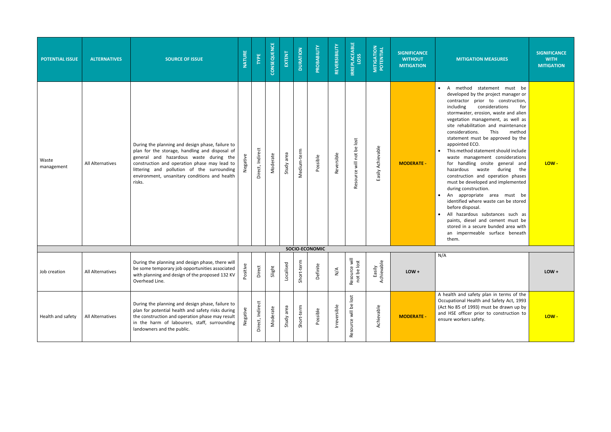| <b>POTENTIAL ISSUE</b> | <b>ALTERNATIVES</b> | <b>SOURCE OF ISSUE</b>                                                                                                                                                                                                                                                                                | <b>NATURE</b>              | TYPE             | CONSEQUENCE | EXTENT        | <b>DURATION</b>       | PROBABILITY                 | REVERSIBILITY       | <b>IRREPLACEABLE</b>         | <b>MITIGATION<br/>POTENTIAL</b>        | <b>SIGNIFICANCE</b><br><b>WITHOUT</b><br><b>MITIGATION</b> | <b>MITIGATION MEASURES</b>                                                                                                                                                                                                                                                                                                                                                                                                                                                                                                                                                                                                                                                                                                                                                                                                                                          | <b>SIGNIFICANCE</b><br><b>WITH</b><br><b>MITIGATION</b> |
|------------------------|---------------------|-------------------------------------------------------------------------------------------------------------------------------------------------------------------------------------------------------------------------------------------------------------------------------------------------------|----------------------------|------------------|-------------|---------------|-----------------------|-----------------------------|---------------------|------------------------------|----------------------------------------|------------------------------------------------------------|---------------------------------------------------------------------------------------------------------------------------------------------------------------------------------------------------------------------------------------------------------------------------------------------------------------------------------------------------------------------------------------------------------------------------------------------------------------------------------------------------------------------------------------------------------------------------------------------------------------------------------------------------------------------------------------------------------------------------------------------------------------------------------------------------------------------------------------------------------------------|---------------------------------------------------------|
| Waste<br>management    | All Alternatives    | During the planning and design phase, failure to<br>plan for the storage, handling and disposal of<br>general and hazardous waste during the<br>construction and operation phase may lead to<br>littering and pollution of the surrounding<br>environment, unsanitary conditions and health<br>risks. |                            | Direct, Indirect | Moderate    | area<br>Study | Medium-term           | Possible                    | Reversible          | Resource will not be lost    | Easily Achievable                      | <b>MODERATE -</b>                                          | A method statement must be<br>developed by the project manager or<br>contractor prior to construction,<br>including<br>considerations<br>for<br>stormwater, erosion, waste and alien<br>vegetation management, as well as<br>site rehabilitation and maintenance<br>This<br>considerations.<br>method<br>statement must be approved by the<br>appointed ECO.<br>This method statement should include<br>waste management considerations<br>for handling onsite general and<br>hazardous waste during<br>the<br>construction and operation phases<br>must be developed and implemented<br>during construction.<br>An appropriate area must be<br>identified where waste can be stored<br>before disposal.<br>All hazardous substances such as<br>paints, diesel and cement must be<br>stored in a secure bunded area with<br>an impermeable surface beneath<br>them. | LOW-                                                    |
|                        |                     |                                                                                                                                                                                                                                                                                                       |                            |                  |             |               | <b>SOCIO-ECONOMIC</b> |                             |                     |                              |                                        |                                                            |                                                                                                                                                                                                                                                                                                                                                                                                                                                                                                                                                                                                                                                                                                                                                                                                                                                                     |                                                         |
| Job creation           | All Alternatives    | During the planning and design phase, there will<br>be some temporary job opportunities associated<br>with planning and design of the proposed 132 KV<br>Overhead Line.                                                                                                                               | $\mathbbmss{D}$<br>Positiv | Direct           | Slight      | Localised     | Short-term            | $\mathbf \omega$<br>Definit | $\sum_{\mathbf{N}}$ | Resource will<br>not be lost | $\frac{e}{\rho}$<br>Easily<br>Achievab | $LOW +$                                                    | N/A                                                                                                                                                                                                                                                                                                                                                                                                                                                                                                                                                                                                                                                                                                                                                                                                                                                                 | $LOW +$                                                 |
| Health and safety      | All Alternatives    | During the planning and design phase, failure to<br>plan for potential health and safety risks during<br>the construction and operation phase may result<br>in the harm of labourers, staff, surrounding<br>landowners and the public.                                                                |                            | Direct, Indirect | Moderate    | area<br>Study | Short-term            | Possible                    | Irreversible        | lost<br>will be<br>Resource  | Achievable                             | <b>MODERATE -</b>                                          | A health and safety plan in terms of the<br>Occupational Health and Safety Act, 1993<br>(Act No 85 of 1993) must be drawn up by<br>and HSE officer prior to construction to<br>ensure workers safety.                                                                                                                                                                                                                                                                                                                                                                                                                                                                                                                                                                                                                                                               | LOW-                                                    |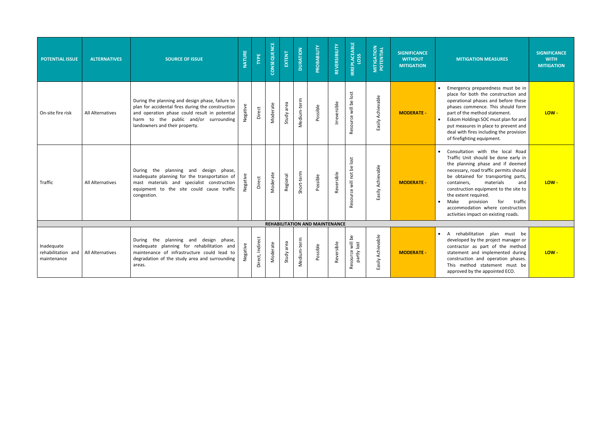| <b>POTENTIAL ISSUE</b>                          | <b>ALTERNATIVES</b> | <b>SOURCE OF ISSUE</b>                                                                                                                                                                                                            | NATURE   | TYPE             | CONSEQUENCE | EXTENT     | <b>DURATION</b> | PROBABILITY                    | REVERSIBILITY | <b>IRREPLACEABLE</b><br>LOSS    | <b>MITIGATION<br/>POTENTIAL</b> | <b>SIGNIFICANCE</b><br><b>WITHOUT</b><br><b>MITIGATION</b> | <b>MIT</b>                                                                                                                                        |
|-------------------------------------------------|---------------------|-----------------------------------------------------------------------------------------------------------------------------------------------------------------------------------------------------------------------------------|----------|------------------|-------------|------------|-----------------|--------------------------------|---------------|---------------------------------|---------------------------------|------------------------------------------------------------|---------------------------------------------------------------------------------------------------------------------------------------------------|
| On-site fire risk                               | All Alternatives    | During the planning and design phase, failure to<br>plan for accidental fires during the construction<br>and operation phase could result in potential<br>harm to the public and/or surrounding<br>landowners and their property. | Negative | Direct           | Moderate    | Study area | Medium-term     | Possible                       | Irreversible  | Resource will be lost           | Easily Achievable               | <b>MODERATE -</b>                                          | Emerger<br>$\bullet$<br>place fo<br>operatio<br>phases<br>part of t<br>Eskom H<br>$\bullet$<br>put mea<br>deal wit<br>of firefig                  |
| Traffic                                         | All Alternatives    | During the planning and design phase,<br>inadequate planning for the transportation of<br>mast materials and specialist construction<br>equipment to the site could cause traffic<br>congestion.                                  | Negative | Direct           | Moderate    | Regional   | Short-term      | Possible                       | Reversible    | Resource will not be lost       | Easily Achievable               | <b>MODERATE -</b>                                          | Consulta<br>$\bullet$<br>Traffic I<br>the pla<br>necessa<br>be obta<br>contain<br>constru<br>the exte<br>Make<br>$\bullet$<br>accomm<br>activitie |
|                                                 |                     |                                                                                                                                                                                                                                   |          |                  |             |            |                 | REHABILITATION AND MAINTENANCE |               |                                 |                                 |                                                            |                                                                                                                                                   |
| Inadequate<br>rehabilitation and<br>maintenance | All Alternatives    | During the planning and design phase,<br>inadequate planning for rehabilitation and<br>maintenance of infrastructure could lead to<br>degradation of the study area and surrounding<br>areas.                                     | Negative | Direct, Indirect | Moderate    | Study area | Medium-term     | Possible                       | Reversible    | Resource will be<br>partly lost | Easily Achievable               | <b>MODERATE -</b>                                          | A reha<br>$\bullet$<br>develop<br>contract<br>stateme<br>constru<br>This m<br>approve                                                             |

| <b>MITIGATION MEASURES</b>                                                                                                                                                                                                                                                                                                                                                                                                 | <b>SIGNIFICANCE</b><br><b>WITH</b><br><b>MITIGATION</b> |
|----------------------------------------------------------------------------------------------------------------------------------------------------------------------------------------------------------------------------------------------------------------------------------------------------------------------------------------------------------------------------------------------------------------------------|---------------------------------------------------------|
| Emergency preparedness must be in<br>place for both the construction and<br>operational phases and before these<br>phases commence. This should form<br>part of the method statement.<br>Eskom Holdings SOC must plan for and<br>put measures in place to prevent and<br>deal with fires including the provision<br>of firefighting equipment.                                                                             | LOW-                                                    |
| Consultation with<br>the local<br>Road<br>Traffic Unit should be done early in<br>the planning phase and if deemed<br>necessary, road traffic permits should<br>be obtained for transporting parts,<br>materials<br>and<br>containers,<br>construction equipment to the site to<br>the extent required.<br>Make<br>provision<br>for<br>traffic<br>accommodation where construction<br>activities impact on existing roads. | LOW-                                                    |
| rehabilitation plan<br>А<br>must<br>he                                                                                                                                                                                                                                                                                                                                                                                     |                                                         |
| developed by the project manager or<br>contractor as part of the method<br>statement and implemented during<br>construction and operation phases.<br>This method statement must<br>he<br>approved by the appointed ECO.                                                                                                                                                                                                    | $LOW -$                                                 |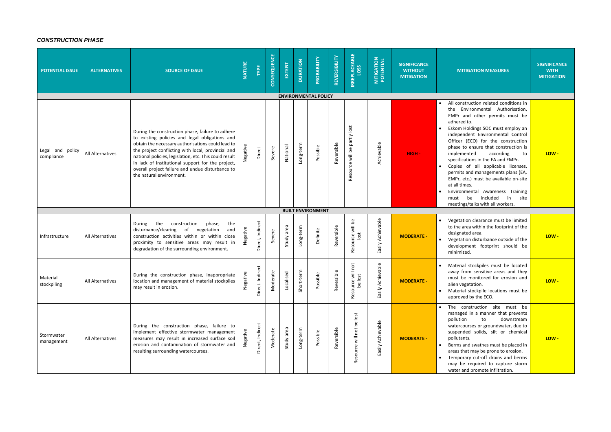# *CONSTRUCTION PHASE*

| <b>POTENTIAL ISSUE</b>         | <b>ALTERNATIVES</b> | <b>SOURCE OF ISSUE</b>                                                                                                                                                                                                                                                                                                                                                                                       | <b>NATURE</b>   | <b>TYPE</b>           | CONSEQUENCE   | EXTENT        | <b>DURATION</b> | PROBABILITY                             | REVERSIBILITY             | <b>IRREPLACEABLE</b>             | <b>MITIGATION</b><br>POTENTIAL | <b>SIGNIFICANCE</b><br><b>WITHOUT</b><br><b>MITIGATION</b> | <b>MITIGATION MEASURES</b>                                                                                                                                                                                                                                                                                                                                                                                                                                                                                                                                                                                                  | <b>SIGNIFICANCE</b><br><b>WITH</b><br><b>MITIGATION</b> |
|--------------------------------|---------------------|--------------------------------------------------------------------------------------------------------------------------------------------------------------------------------------------------------------------------------------------------------------------------------------------------------------------------------------------------------------------------------------------------------------|-----------------|-----------------------|---------------|---------------|-----------------|-----------------------------------------|---------------------------|----------------------------------|--------------------------------|------------------------------------------------------------|-----------------------------------------------------------------------------------------------------------------------------------------------------------------------------------------------------------------------------------------------------------------------------------------------------------------------------------------------------------------------------------------------------------------------------------------------------------------------------------------------------------------------------------------------------------------------------------------------------------------------------|---------------------------------------------------------|
| Legal and policy<br>compliance | All Alternatives    | During the construction phase, failure to adhere<br>to existing policies and legal obligations and<br>obtain the necessary authorisations could lead to<br>the project conflicting with local, provincial and<br>national policies, legislation, etc. This could result<br>in lack of institutional support for the project,<br>overall project failure and undue disturbance to<br>the natural environment. |                 | Direct                | Severe        | National      | ong-term.       | <b>ENVIRONMENTAL POLICY</b><br>Possible | Reversible                | will be partly lost<br>Resource  | Achievable                     | HIGH-                                                      | All construction related conditions in<br>$\bullet$<br>the Environmental Authorisation,<br>EMPr and other permits must be<br>adhered to.<br>Eskom Holdings SOC must employ an<br>independent Environmental Control<br>Officer (ECO) for the construction<br>phase to ensure that construction is<br>implemented<br>according<br>to<br>specifications in the EA and EMPr.<br>Copies of all applicable licenses,<br>permits and managements plans (EA,<br>EMPr, etc.) must be available on-site<br>at all times.<br>Environmental Awareness Training<br>be included<br>in<br>site<br>must<br>meetings/talks with all workers. | LOW-                                                    |
|                                |                     |                                                                                                                                                                                                                                                                                                                                                                                                              |                 |                       |               |               |                 | <b>BUILT ENVIRONMENT</b>                |                           |                                  |                                |                                                            |                                                                                                                                                                                                                                                                                                                                                                                                                                                                                                                                                                                                                             |                                                         |
| Infrastructure                 | All Alternatives    | During the<br>construction<br>phase,<br>the<br>disturbance/clearing of<br>vegetation<br>and<br>construction activities within or within close<br>proximity to sensitive areas may result in<br>degradation of the surrounding environment.                                                                                                                                                                   | Negative        | Indirect<br>Direct,   | Severe        | area<br>Study | Long-term       | Definite                                | Reversible                | Resource will be<br>lost         | Easily Achievable              | <b>MODERATE -</b>                                          | Vegetation clearance must be limited<br>to the area within the footprint of the<br>designated area.<br>Vegetation disturbance outside of the<br>development footprint should be<br>minimized.                                                                                                                                                                                                                                                                                                                                                                                                                               | LOW-                                                    |
| Material<br>stockpiling        | All Alternatives    | During the construction phase, inappropriate<br>location and management of material stockpiles<br>may result in erosion.                                                                                                                                                                                                                                                                                     | ိုင္ဘ<br>Negati | idirect<br>Direct. In | ate<br>Moder. | ρġ<br>Localis | Short-term      | Possible                                | $\frac{e}{12}$<br>Reversi | not<br>urce v<br>be lo:<br>Resor | evable<br>Easily Achie         | <b>MODERATE -</b>                                          | Material stockpiles must be located<br>away from sensitive areas and they<br>must be monitored for erosion and<br>alien vegetation.<br>Material stockpile locations must be<br>approved by the ECO.                                                                                                                                                                                                                                                                                                                                                                                                                         | LOW-                                                    |
| Stormwater<br>management       | All Alternatives    | During the construction phase, failure to<br>implement effective stormwater management<br>measures may result in increased surface soil<br>erosion and contamination of stormwater and<br>resulting surrounding watercourses.                                                                                                                                                                                |                 | Direct, Indirect      | Moderate      | area<br>Study | Long-term       | Possible                                | Reversible                | Resource will not be lost        | Easily Achievable              | <b>MODERATE -</b>                                          | • The construction site must be<br>managed in a manner that prevents<br>downstream<br>pollution<br>to<br>watercourses or groundwater, due to<br>suspended solids, silt or chemical<br>pollutants.<br>Berms and swathes must be placed in<br>areas that may be prone to erosion.<br>Temporary cut-off drains and berms<br>may be required to capture storm<br>water and promote infiltration.                                                                                                                                                                                                                                | LOW-                                                    |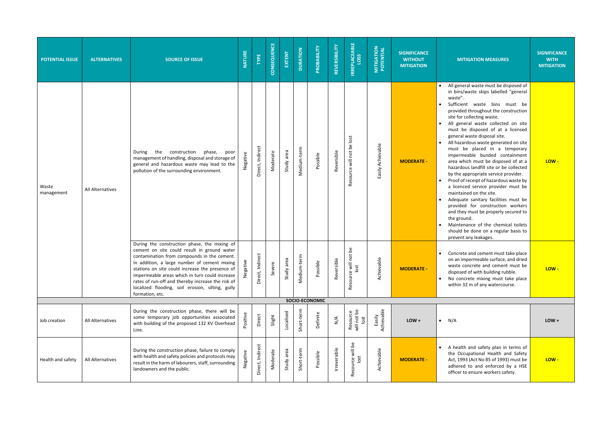| <b>MITIGATION MEASURES</b>                                                                                                                                                                                                                                                                                                                                                                                                                                                                                                                                                                                                                                                                                                                                                                                                                                                                                                   | <b>SIGNIFICANCE</b><br><b>WITH</b><br><b>MITIGATION</b> |
|------------------------------------------------------------------------------------------------------------------------------------------------------------------------------------------------------------------------------------------------------------------------------------------------------------------------------------------------------------------------------------------------------------------------------------------------------------------------------------------------------------------------------------------------------------------------------------------------------------------------------------------------------------------------------------------------------------------------------------------------------------------------------------------------------------------------------------------------------------------------------------------------------------------------------|---------------------------------------------------------|
| All general waste must be disposed of<br>in bins/waste skips labelled "general<br>waste".<br>Sufficient<br>bins<br>waste<br>must<br>be<br>provided throughout the construction<br>site for collecting waste.<br>All general waste collected on site<br>must be disposed of at a licensed<br>general waste disposal site.<br>All hazardous waste generated on site<br>be placed in a<br>must<br>temporary<br>impermeable bunded containment<br>area which must be disposed of at a<br>hazardous landfill site or be collected<br>by the appropriate service provider.<br>Proof of receipt of hazardous waste by<br>a licenced service provider must be<br>maintained on the site.<br>Adequate sanitary facilities must be<br>provided for construction workers<br>and they must be properly secured to<br>the ground.<br>Maintenance of the chemical toilets<br>should be done on a regular basis to<br>prevent any leakages. | LOW -                                                   |
| Concrete and cement must take place<br>on an impermeable surface, and dried<br>waste concrete and cement must be<br>disposed of with building rubble.<br>No concrete mixing must take place<br>within 32 m of any watercourse.                                                                                                                                                                                                                                                                                                                                                                                                                                                                                                                                                                                                                                                                                               | LOW                                                     |
|                                                                                                                                                                                                                                                                                                                                                                                                                                                                                                                                                                                                                                                                                                                                                                                                                                                                                                                              |                                                         |
| N/A                                                                                                                                                                                                                                                                                                                                                                                                                                                                                                                                                                                                                                                                                                                                                                                                                                                                                                                          | $LOW +$                                                 |
| A health and safety plan in terms of<br>the Occupational Health and Safety<br>Act, 1993 (Act No 85 of 1993) must be<br>adhered to and enforced by a HSE<br>officer to ensure workers safety.                                                                                                                                                                                                                                                                                                                                                                                                                                                                                                                                                                                                                                                                                                                                 | LOW -                                                   |

| <b>POTENTIAL ISSUE</b> | <b>ALTERNATIVES</b> | <b>SOURCE OF ISSUE</b>                                                                                                                                                                                                                                                                                                                                                                                                      | NATURE   | TYPE                         | CONSEQUENCE | EXTENT        | <b>DURATION</b>  | PROBABILITY    | REVERSIBILITY | <b>IRREPLACEABLE</b><br>LOSS    | <b>MITIGATION</b><br>POTENTIAL | <b>SIGNIFICANCE</b><br><b>WITHOUT</b><br><b>MITIGATION</b> | <b>MITIGA</b>                                                                                                                                                                                                                                                                                                                                                                                  |
|------------------------|---------------------|-----------------------------------------------------------------------------------------------------------------------------------------------------------------------------------------------------------------------------------------------------------------------------------------------------------------------------------------------------------------------------------------------------------------------------|----------|------------------------------|-------------|---------------|------------------|----------------|---------------|---------------------------------|--------------------------------|------------------------------------------------------------|------------------------------------------------------------------------------------------------------------------------------------------------------------------------------------------------------------------------------------------------------------------------------------------------------------------------------------------------------------------------------------------------|
| Waste<br>management    | All Alternatives    | construction<br>During<br>the<br>phase,<br>poor<br>management of handling, disposal and storage of<br>general and hazardous waste may lead to the<br>pollution of the surrounding environment.                                                                                                                                                                                                                              | Negative | Direct, Indirect             | Moderate    | Study area    | Medium-term      | Possible       | Reversible    | Resource will not be lost       | Easily Achievable              | <b>MODERATE -</b>                                          | All general<br>$\bullet$<br>in bins/was<br>waste".<br>Sufficient<br>$\bullet$<br>provided th<br>site for colle<br>All general<br>must be d<br>general was<br>All hazardor<br>must be<br>impermeab<br>area which<br>hazardous I<br>by the appr<br>Proof of rec<br>a licenced<br>maintained<br>Adequate s<br>provided f<br>and they m<br>the ground.<br>Maintenand<br>should be o<br>prevent any |
|                        |                     | During the construction phase, the mixing of<br>cement on site could result in ground water<br>contamination from compounds in the cement.<br>In addition, a large number of cement mixing<br>stations on site could increase the presence of<br>impermeable areas which in turn could increase<br>rates of run-off and thereby increase the risk of<br>localized flooding, soil erosion, silting, gully<br>formation, etc. | Negative | <b>ndirect</b><br>Direct, In | Severe      | area<br>Study | -term<br>Medium- | Possible       | Reversible    | Resource will not be<br>lost    | Achievable                     | <b>MODERATE -</b>                                          | Concrete ar<br>on an imper<br>waste conc<br>disposed of<br>No concret<br>within 32 m                                                                                                                                                                                                                                                                                                           |
|                        |                     |                                                                                                                                                                                                                                                                                                                                                                                                                             |          |                              |             |               |                  | SOCIO-ECONOMIC |               |                                 |                                |                                                            |                                                                                                                                                                                                                                                                                                                                                                                                |
| Job creation           | All Alternatives    | During the construction phase, there will be<br>some temporary job opportunities associated<br>with building of the proposed 132 KV Overhead<br>Line.                                                                                                                                                                                                                                                                       | Positive | Direct                       | Slight      | Localised     | Short-term       | Definite       | $\frac{4}{2}$ | Resource<br>will not be<br>lost | Easily<br>Achievable           | $LOW +$                                                    | N/A<br>$\bullet$                                                                                                                                                                                                                                                                                                                                                                               |
| Health and safety      | All Alternatives    | During the construction phase, failure to comply<br>with health and safety policies and protocols may<br>result in the harm of labourers, staff, surrounding<br>landowners and the public.                                                                                                                                                                                                                                  | Negative | Direct, Indirect             | Moderate    | Study area    | Short-term       | Possible       | Irreversible  | Resource will be<br>lost        | Achievable                     | <b>MODERATE -</b>                                          | A health ar<br>$\bullet$<br>the Occupa<br>Act, 1993 (A<br>adhered to<br>officer to er                                                                                                                                                                                                                                                                                                          |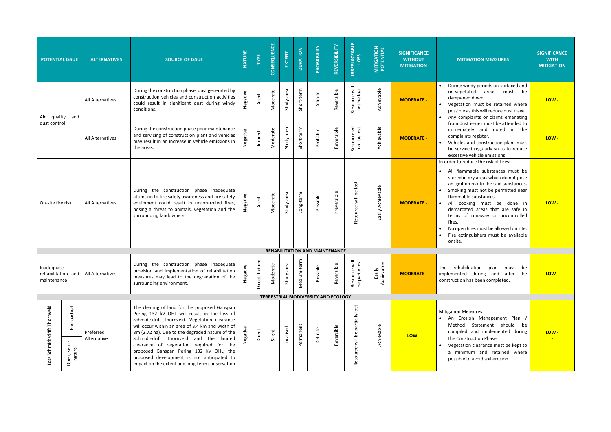| <b>POTENTIAL ISSUE</b>                          |                                      | <b>ALTERNATIVES</b>      | <b>SOURCE OF ISSUE</b>                                                                                                                                                                                                                                                                                                                                                                                                                                                                   | <b>NATURE</b> | TYPE                 | CONSEQUENCE | EXTENT        | <b>DURATION</b> | PROBABILITY                                 | REVERSIBILITY                 | <b>IRREPLACEABLE</b><br>LOSS       | <b>MITIGATION<br/>POTENTIAL</b> | <b>SIGNIFICANCE</b><br><b>WITHOUT</b><br><b>MITIGATION</b> | <b>MITIGATION</b>                                                                                                                                                                                                                                                               |
|-------------------------------------------------|--------------------------------------|--------------------------|------------------------------------------------------------------------------------------------------------------------------------------------------------------------------------------------------------------------------------------------------------------------------------------------------------------------------------------------------------------------------------------------------------------------------------------------------------------------------------------|---------------|----------------------|-------------|---------------|-----------------|---------------------------------------------|-------------------------------|------------------------------------|---------------------------------|------------------------------------------------------------|---------------------------------------------------------------------------------------------------------------------------------------------------------------------------------------------------------------------------------------------------------------------------------|
| Air<br>quality                                  | and                                  | All Alternatives         | During the construction phase, dust generated by<br>construction vehicles and construction activities<br>could result in significant dust during windy<br>conditions.                                                                                                                                                                                                                                                                                                                    | Negative      | Direct               | Moderate    | Study area    | Short-term      | Definite                                    | Reversible                    | Resource will<br>not be lost       | Achievable                      | <b>MODERATE -</b>                                          | During windy peri<br>un-vegetated<br>dampened down.<br>Vegetation must<br>possible as this wi<br>Any complaints o                                                                                                                                                               |
| dust control                                    |                                      | All Alternatives         | During the construction phase poor maintenance<br>and servicing of construction plant and vehicles<br>may result in an increase in vehicle emissions in<br>the areas.                                                                                                                                                                                                                                                                                                                    | Negative      | Indirect             | Moderate    | Study area    | Short-term      | Probable                                    | Reversible                    | Resource will<br>not be lost       | Achievable                      | <b>MODERATE -</b>                                          | from dust issues<br>immediately an<br>complaints regist<br>Vehicles and con<br>be serviced regul<br>excessive vehicle                                                                                                                                                           |
| On-site fire risk                               |                                      | All Alternatives         | During the construction phase inadequate<br>attention to fire safety awareness and fire safety<br>equipment could result in uncontrolled fires,<br>posing a threat to animals, vegetation and the<br>surrounding landowners.                                                                                                                                                                                                                                                             | Negative      | Direct               | Moderate    | Study area    | Long-term       | Possible                                    | Irreversible                  | Resource will be lost              | Easily Achievable               | <b>MODERATE -</b>                                          | In order to reduce the<br>All flammable s<br>$\bullet$<br>stored in dry area<br>an ignition risk to<br>Smoking must no<br>flammable substa<br>All<br>cooking m<br>$\bullet$<br>demarcated area<br>terms of runaw<br>fires.<br>No open fires mus<br>Fire extinguisher<br>onsite. |
|                                                 |                                      |                          |                                                                                                                                                                                                                                                                                                                                                                                                                                                                                          |               |                      |             |               |                 | <b>REHABILITATION AND MAINTENANCE</b>       |                               |                                    |                                 |                                                            |                                                                                                                                                                                                                                                                                 |
| Inadequate<br>rehabilitation and<br>maintenance |                                      | All Alternatives         | During the construction phase inadequate<br>provision and implementation of rehabilitation<br>measures may lead to the degradation of the<br>surrounding environment.                                                                                                                                                                                                                                                                                                                    | Negative      | rect<br>Direct, Indi | Moderate    | area<br>Study | üή<br>Medium-te | Possible                                    | $\mathbf \omega$<br>Reversibl | Resource will<br>be partly lost    | Φ<br>Easily<br>Achievabl        | <b>MODERATE -</b>                                          | The rehabilitation<br>implemented during<br>construction has been                                                                                                                                                                                                               |
|                                                 |                                      |                          |                                                                                                                                                                                                                                                                                                                                                                                                                                                                                          |               |                      |             |               |                 | <b>TERRESTRIAL BIODIVERSITY AND ECOLOGY</b> |                               |                                    |                                 |                                                            |                                                                                                                                                                                                                                                                                 |
| Thornveld<br>Loss Schmidtsdrift                 | Encroached<br>Open, semi-<br>natural | Preferred<br>Alternative | The clearing of land for the proposed Ganspan<br>Pering 132 kV OHL will result in the loss of<br>Schmidtsdrift Thornveld. Vegetation clearance<br>will occur within an area of 3.4 km and width of<br>8m (2.72 ha). Due to the degraded nature of the<br>Schmidtsdrift Thornveld and the limited<br>clearance of vegetation required for the<br>proposed Ganspan Pering 132 kV OHL, the<br>proposed development is not anticipated to<br>impact on the extent and long-term conservation |               | Direct               | Slight      | Localised     | Permanent       | Definite                                    | Reversible                    | will be partially lost<br>Resource | Achievable                      | LOW-                                                       | <b>Mitigation Measures:</b><br>An Erosion Ma<br>Method Stater<br>compiled and in<br>the Construction<br>Vegetation cleara<br>a minimum an<br>possible to avoid                                                                                                                  |

| <b>SIGNIFICANCE</b><br><b>WITHOUT</b><br><b>MITIGATION</b> | <b>MITIGATION MEASURES</b>                                                                                                                                                                                                                                                                                                                                                                                                                            | <b>SIGNIFICANCE</b><br>$W$ ITH<br><b>MITIGATION</b> |
|------------------------------------------------------------|-------------------------------------------------------------------------------------------------------------------------------------------------------------------------------------------------------------------------------------------------------------------------------------------------------------------------------------------------------------------------------------------------------------------------------------------------------|-----------------------------------------------------|
| <b>MODERATE -</b>                                          | During windy periods un-surfaced and<br>$\bullet$<br>un-vegetated<br>be<br>areas<br>must<br>dampened down.<br>Vegetation must be retained where<br>possible as this will reduce dust travel.<br>Any complaints or claims emanating                                                                                                                                                                                                                    | LOW -                                               |
| <b>MODERATE -</b>                                          | from dust issues must be attended to<br>immediately<br>and<br>noted<br>the<br>in<br>complaints register.<br>Vehicles and construction plant must<br>be serviced regularly so as to reduce<br>excessive vehicle emissions.                                                                                                                                                                                                                             | LOW-                                                |
| <b>MODERATE -</b>                                          | In order to reduce the risk of fires:<br>All flammable substances must be<br>stored in dry areas which do not pose<br>an ignition risk to the said substances.<br>Smoking must not be permitted near<br>flammable substances.<br>All<br>cooking must be<br>done<br>in<br>demarcated areas that are safe in<br>terms of runaway or uncontrolled<br>fires.<br>No open fires must be allowed on site.<br>Fire extinguishers must be available<br>onsite. | LOW -                                               |
| <b>MODERATE -</b>                                          | rehabilitation<br>The<br>plan<br>must<br>рe<br>implemented during<br>and<br>after<br>the<br>construction has been completed.                                                                                                                                                                                                                                                                                                                          | LOW-                                                |
| LOW-                                                       | <b>Mitigation Measures:</b><br>Erosion<br>Management<br>An<br>Plan<br>Method<br>Statement<br>should<br>be<br>compiled and implemented during<br>the Construction Phase.<br>Vegetation clearance must be kept to<br>minimum and retained where<br>a<br>possible to avoid soil erosion.                                                                                                                                                                 | LOW -                                               |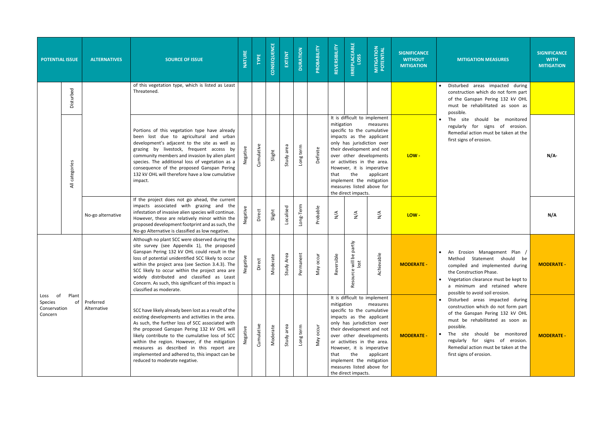| <b>POTENTIAL ISSUE</b>                        |                 | <b>ALTERNATIVES</b>      | <b>SOURCE OF ISSUE</b>                                                                                                                                                                                                                                                                                                                                                                                                                          | <b>NATURE</b>     | <b>TYPE</b>       | CONSEQUENCE                | EXTENT          | <b>DURATION</b> | PROBABILITY                   | REVERSIBILITY       | <b>IRREPLACEABLE</b>                                                                                                                                                                                                                                                                                                           | <b>MITIGATION</b><br>POTENTIAL | <b>SIGNIFICANCE</b><br><b>WITHOUT</b><br><b>MITIGATION</b> | <b>MITIGATION MEASURES</b>                                                                                                                                                                                                                                                                          | <b>SIGNIFICANCE</b><br><b>WITH</b><br><b>MITIGATION</b> |
|-----------------------------------------------|-----------------|--------------------------|-------------------------------------------------------------------------------------------------------------------------------------------------------------------------------------------------------------------------------------------------------------------------------------------------------------------------------------------------------------------------------------------------------------------------------------------------|-------------------|-------------------|----------------------------|-----------------|-----------------|-------------------------------|---------------------|--------------------------------------------------------------------------------------------------------------------------------------------------------------------------------------------------------------------------------------------------------------------------------------------------------------------------------|--------------------------------|------------------------------------------------------------|-----------------------------------------------------------------------------------------------------------------------------------------------------------------------------------------------------------------------------------------------------------------------------------------------------|---------------------------------------------------------|
|                                               | Disturbed       |                          | of this vegetation type, which is listed as Least<br>Threatened.                                                                                                                                                                                                                                                                                                                                                                                |                   |                   |                            |                 |                 |                               |                     |                                                                                                                                                                                                                                                                                                                                |                                |                                                            | Disturbed areas impacted during<br>construction which do not form part<br>of the Ganspan Pering 132 kV OHL<br>must be rehabilitated as soon as<br>possible.                                                                                                                                         |                                                         |
|                                               | categories<br>₹ |                          | Portions of this vegetation type have already<br>been lost due to agricultural and urban<br>development's adjacent to the site as well as<br>grazing by livestock, frequent access by<br>community members and invasion by alien plant<br>species. The additional loss of vegetation as a<br>consequence of the proposed Ganspan Pering<br>132 kV OHL will therefore have a low cumulative<br>impact.                                           |                   | Cumulative        | Slight                     | Study area      | Long term       | Definite                      | mitigation<br>that  | It is difficult to implement<br>specific to the cumulative<br>impacts as the applicant<br>only has jurisdiction over<br>their development and not<br>over other developments<br>or activities in the area.<br>However, it is imperative<br>the<br>implement the mitigation<br>measures listed above for<br>the direct impacts. | measures<br>applicant          | LOW-                                                       | The site should be monitored<br>regularly for signs of erosion.<br>Remedial action must be taken at the<br>first signs of erosion.                                                                                                                                                                  | $N/A$ -                                                 |
|                                               |                 | No-go alternative        | If the project does not go ahead, the current<br>impacts associated with grazing and the<br>infestation of invasive alien species will continue.<br>However, these are relatively minor within the<br>proposed development footprint and as such, the<br>No-go Alternative is classified as low negative.                                                                                                                                       |                   | Direct            | Slight                     | Localised       | Long-Term       | Probable                      | $\sum_{\mathbf{N}}$ | $\sum_{N}$                                                                                                                                                                                                                                                                                                                     | $\sum_{N}$                     | LOW-                                                       |                                                                                                                                                                                                                                                                                                     | N/A                                                     |
|                                               |                 |                          | Although no plant SCC were observed during the<br>site survey (see Appendix 1), the proposed<br>Ganspan Pering 132 kV OHL could result in the<br>loss of potential unidentified SCC likely to occur<br>within the project area (see Section 3.4.3). The<br>SCC likely to occur within the project area are<br>widely distributed and classified as Least<br>Concern. As such, this significant of this impact is<br>classified as moderate.     | gative<br>تو<br>ح | irect<br>$\Omega$ | derate<br>$\sum_{i=1}^{n}$ | ly Area<br>Stud | Permanent       | occur<br>VeW                  | Reversible          | will be partly<br>lost<br>Resource                                                                                                                                                                                                                                                                                             | evable<br>Achi                 | <b>MODERATE -</b>                                          | An Erosion Management Plan /<br>Statement should<br>Method<br>be<br>compiled and implemented during<br>the Construction Phase.<br>Vegetation clearance must be kept to<br>a minimum and retained where<br>possible to avoid soil erosion.                                                           | <b>MODERATE -</b>                                       |
| Loss of<br>Species<br>Conservation<br>Concern | Plant<br>0f     | Preferred<br>Alternative | SCC have likely already been lost as a result of the<br>existing developments and activities in the area.<br>As such, the further loss of SCC associated with<br>the proposed Ganspan Pering 132 kV OHL will<br>likely contribute to the cumulative loss of SCC<br>within the region. However, if the mitigation<br>measures as described in this report are<br>implemented and adhered to, this impact can be<br>reduced to moderate negative. |                   | Cumulative        | oderate                    | area<br>Study   | term<br>Toug    | occur<br>$\tilde{\mathbf{z}}$ | mitigation<br>that  | It is difficult to implement<br>specific to the cumulative<br>impacts as the applicant<br>only has jurisdiction over<br>their development and not<br>over other developments<br>or activities in the area.<br>However, it is imperative<br>the<br>implement the mitigation<br>measures listed above for<br>the direct impacts. | measures<br>applicant          | <b>MODERATE -</b>                                          | Disturbed areas impacted during<br>construction which do not form part<br>of the Ganspan Pering 132 kV OHL<br>must be rehabilitated as soon as<br>possible.<br>• The site should be monitored<br>regularly for signs of erosion.<br>Remedial action must be taken at the<br>first signs of erosion. | <b>MODERATE -</b>                                       |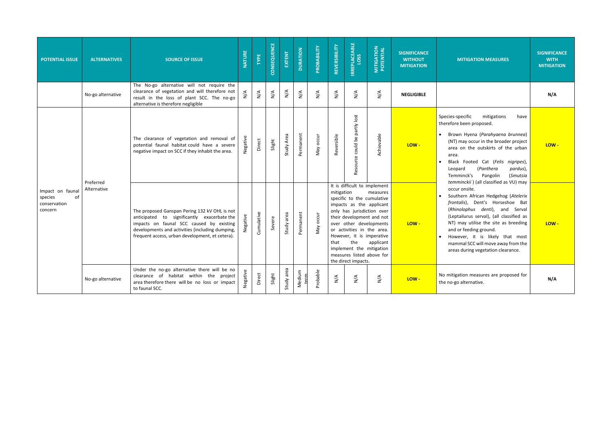| <b>POTENTIAL ISSUE</b>                                       | <b>ALTERNATIVES</b>      | <b>SOURCE OF ISSUE</b>                                                                                                                                                                                                                         | <b>NATURE</b>    | TYPE            | CONSEQUENCE     | EXTENT     | <b>DURATION</b>              | PROBABILITY         | REVERSIBILITY                | <b>IRREPLACEABLE</b><br>LOSS                                                                                                                                                                                                                                                                      | <b>MITIGATION<br/>POTENTIAL</b>                    | <b>SIGNIFICANCE</b><br><b>WITHOUT</b><br><b>MITIGATION</b> | <b>MITIGAT</b>                                                                                                                                                          |
|--------------------------------------------------------------|--------------------------|------------------------------------------------------------------------------------------------------------------------------------------------------------------------------------------------------------------------------------------------|------------------|-----------------|-----------------|------------|------------------------------|---------------------|------------------------------|---------------------------------------------------------------------------------------------------------------------------------------------------------------------------------------------------------------------------------------------------------------------------------------------------|----------------------------------------------------|------------------------------------------------------------|-------------------------------------------------------------------------------------------------------------------------------------------------------------------------|
|                                                              | No-go alternative        | The No-go alternative will not require the<br>clearance of vegetation and will therefore not<br>result in the loss of plant SCC. The no-go<br>alternative is therefore negligible                                                              | $\sum_{i=1}^{n}$ | $\sum^\text{A}$ | $\sum^\text{A}$ | N/A        | $\stackrel{\triangle}{\geq}$ | $\sum_{\mathbf{N}}$ | $\stackrel{\triangle}{\geq}$ | $\stackrel{\triangle}{>}$                                                                                                                                                                                                                                                                         | $\sum_{\mathbf{N}}$                                | <b>NEGLIGIBLE</b>                                          |                                                                                                                                                                         |
|                                                              |                          | The clearance of vegetation and removal of<br>potential faunal habitat could have a severe<br>negative impact on SCC if they inhabit the area.                                                                                                 | Negative         | Direct          | Slight          | Study Area | Permanent                    | May occur           | Reversible                   | Resource could be partly lost                                                                                                                                                                                                                                                                     | Achievable                                         | LOW-                                                       | Species-specific<br>therefore been p<br>Brown Hyen<br>(NT) may oco<br>area on the<br>area.<br>Black Foote<br>Leopard<br>Temminck's                                      |
| Impact on faunal<br>of<br>species<br>conservation<br>concern | Preferred<br>Alternative | The proposed Ganspan Pering 132 kV OHL is not<br>anticipated to significantly exacerbate the<br>impacts on faunal SCC caused by existing<br>developments and activities (including dumping,<br>frequent access, urban development, et cetera). |                  | Cumulative      | Severe          | Study area | Permanent                    | May occur           | mitigation<br>that           | It is difficult to implement<br>specific to the cumulative<br>impacts as the applicant<br>only has jurisdiction over<br>over other developments<br>or activities in the area.<br>However, it is imperative<br>the<br>implement the mitigation<br>measures listed above for<br>the direct impacts. | measures<br>their development and not<br>applicant | LOW-                                                       | temminckii)<br>occur onsite.<br>Southern Af<br>frontalis),<br>(Rhinolophus<br>(Leptailurus<br>NT) may uti<br>and or feedir<br>However, it<br>mammal SCC<br>areas during |
|                                                              | No-go alternative        | Under the no-go alternative there will be no<br>clearance of habitat within the project<br>area therefore there will be no loss or impact<br>to faunal SCC.                                                                                    | Negative         | Direct          | Slight          | Study area | Medium<br>term               | Probable            | $\sum_{\mathsf{N}}$          | $\sum_{N}$                                                                                                                                                                                                                                                                                        | $\sum_{N}$                                         | LOW-                                                       | No mitigation me<br>the no-go alterna                                                                                                                                   |

| <b>IGNIFICANCE</b><br><b>WITHOUT</b><br><b>MITIGATION</b> | <b>MITIGATION MEASURES</b>                                                                                                                                                                                                                                                                                                                                                                                         | <b>SIGNIFICANCE</b><br><b>WITH</b><br><b>MITIGATION</b> |
|-----------------------------------------------------------|--------------------------------------------------------------------------------------------------------------------------------------------------------------------------------------------------------------------------------------------------------------------------------------------------------------------------------------------------------------------------------------------------------------------|---------------------------------------------------------|
| NEGLIGIBLE                                                |                                                                                                                                                                                                                                                                                                                                                                                                                    | N/A                                                     |
| LOW-                                                      | Species-specific<br>mitigations<br>have<br>therefore been proposed.<br>Brown Hyena (Parahyaena brunnea)<br>(NT) may occur in the broader project<br>area on the outskirts of the urban<br>area.<br>Black Footed Cat (Felis nigripes),<br>(Panthera<br>pardus),<br>Leopard<br>Temminck's<br>Pangolin<br>(Smutsia                                                                                                    | LOW-                                                    |
| LOW -                                                     | temminckii) (all classified as VU) may<br>occur onsite.<br>Southern African Hedgehog (Atelerix<br>frontalis), Dent's Horseshoe<br><b>Bat</b><br>(Rhinolophus denti),<br>and<br>Serval<br>(Leptailurus serval), (all classified as<br>NT) may utilise the site as breeding<br>and or feeding ground.<br>However, it is likely that most<br>mammal SCC will move away from the<br>areas during vegetation clearance. | LOW-                                                    |
| LOW -                                                     | No mitigation measures are proposed for<br>the no-go alternative.                                                                                                                                                                                                                                                                                                                                                  | N/A                                                     |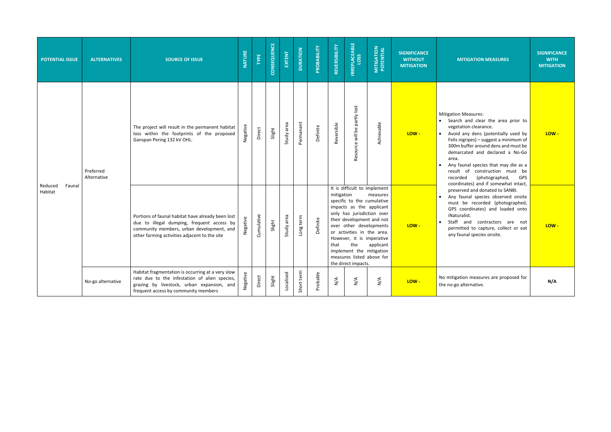| <b>POTENTIAL ISSUE</b>       | <b>ALTERNATIVES</b>      | <b>SOURCE OF ISSUE</b>                                                                                                                                                                        | <b>NATURE</b> | TYPE       | CONSEQUENCE | EXTENT     | <b>DURATION</b> | PROBABILITY | REVERSIBILITY                | <b>IRREPLACEABLE</b><br>LOSS                                                                                                                                                                                                                                                                                                   | <b>MITIGATION<br/>POTENTIAL</b> | <b>SIGNIFICANCE</b><br><b>WITHOUT</b><br><b>MITIGATION</b> | <b>MITIGATION</b>                                                                                                                                                                                                                    |
|------------------------------|--------------------------|-----------------------------------------------------------------------------------------------------------------------------------------------------------------------------------------------|---------------|------------|-------------|------------|-----------------|-------------|------------------------------|--------------------------------------------------------------------------------------------------------------------------------------------------------------------------------------------------------------------------------------------------------------------------------------------------------------------------------|---------------------------------|------------------------------------------------------------|--------------------------------------------------------------------------------------------------------------------------------------------------------------------------------------------------------------------------------------|
|                              | Preferred<br>Alternative | The project will result in the permanent habitat<br>loss within the footprints of the proposed<br>Ganspan Pering 132 kV OHL.                                                                  | Negative      | Direct     | Slight      | Study area | Permanent       | Definite    | Reversible                   | Resource will be partly lost                                                                                                                                                                                                                                                                                                   | Achievable                      | LOW-                                                       | <b>Mitigation Measures:</b><br>Search and clear<br>vegetation cleara<br>Avoid any dens<br>$\bullet$<br>Felis nigripes) - su<br>300m buffer arou<br>demarcated and<br>area.<br>Any faunal specie<br>result of cons<br>recorded<br>(ph |
| Reduced<br>Faunal<br>Habitat |                          | Portions of faunal habitat have already been lost<br>due to illegal dumping, frequent access by<br>community members, urban development, and<br>other farming activities adjacent to the site | Negative      | Cumulative | Slight      | Study area | Long term       | Definite    | mitigation<br>that           | It is difficult to implement<br>specific to the cumulative<br>impacts as the applicant<br>only has jurisdiction over<br>their development and not<br>over other developments<br>or activities in the area.<br>However, it is imperative<br>the<br>implement the mitigation<br>measures listed above for<br>the direct impacts. | measures<br>applicant           | LOW-                                                       | coordinates) and<br>preserved and do<br>Any faunal spec<br>$\bullet$<br>must be record<br>GPS coordinates<br>iNaturalist.<br>Staff and con<br>permitted to cap<br>any faunal specie                                                  |
|                              | No-go alternative        | Habitat fragmentation is occurring at a very slow<br>rate due to the infestation of alien species,<br>grazing by livestock, urban expansion, and<br>frequent access by community members      | Negative      | Direct     | Slight      | Localised  | Short term      | Probable    | $\stackrel{\triangle}{\geq}$ | $\sum^\text{A}$                                                                                                                                                                                                                                                                                                                | $\sum_{\mathbf{N}}$             | $LOW -$                                                    | No mitigation measur<br>the no-go alternative.                                                                                                                                                                                       |

| <b>NCE</b><br>UT.<br><b>TON</b> | <b>MITIGATION MEASURES</b>                                                                                                                                                                                                                                                                                                                                                                                                         | <b>SIGNIFICANCE</b><br><b>WITH</b><br><b>MITIGATION</b> |
|---------------------------------|------------------------------------------------------------------------------------------------------------------------------------------------------------------------------------------------------------------------------------------------------------------------------------------------------------------------------------------------------------------------------------------------------------------------------------|---------------------------------------------------------|
|                                 | <b>Mitigation Measures:</b><br>Search and clear the area prior to<br>vegetation clearance.<br>Avoid any dens (potentially used by<br>Felis nigripes) - suggest a minimum of<br>300m buffer around dens and must be<br>demarcated and declared a No-Go<br>area.<br>Any faunal species that may die as a<br>construction must<br>result of<br>be<br>recorded<br>(photographed,<br><b>GPS</b><br>coordinates) and if somewhat intact, | $LOW -$                                                 |
|                                 | preserved and donated to SANBI.<br>Any faunal species observed onsite<br>must be recorded (photographed,<br>GPS coordinates) and loaded onto<br>iNaturalist.<br>Staff<br>and<br>contractors<br>are<br>not<br>permitted to capture, collect or eat<br>any faunal species onsite.                                                                                                                                                    | LOW-                                                    |
|                                 | No mitigation measures are proposed for<br>the no-go alternative.                                                                                                                                                                                                                                                                                                                                                                  | N/A                                                     |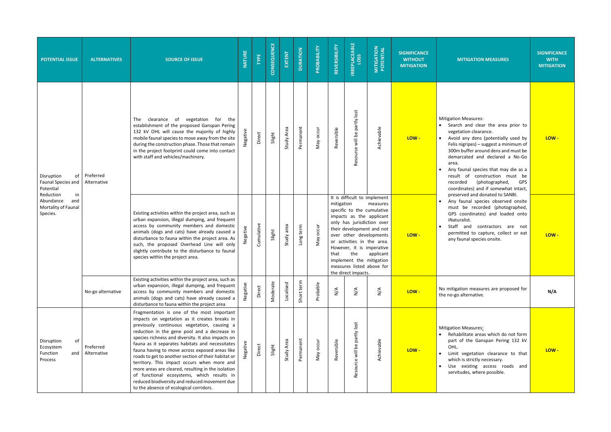| <b>POTENTIAL ISSUE</b>                                                 | <b>ALTERNATIVES</b>      | <b>SOURCE OF ISSUE</b>                                                                                                                                                                                                                                                                                                                                                                                                                                                                                                                                                                                                                                      | <b>NATURE</b> | TYPE       | CONSEQUENCE | EXTENT     | <b>DURATION</b> | PROBABILITY | REVERSIBILITY       | <b>IRREPLACEABLE</b><br>LOSS                                                                                                                                                                                                                                                                                                   | <b>MITIGATION<br/>POTENTIAL</b> | <b>SIGNIFICANCE</b><br><b>WITHOUT</b><br><b>MITIGATION</b> | <b>MITIGATION</b>                                                                                                                                                                                                                          |
|------------------------------------------------------------------------|--------------------------|-------------------------------------------------------------------------------------------------------------------------------------------------------------------------------------------------------------------------------------------------------------------------------------------------------------------------------------------------------------------------------------------------------------------------------------------------------------------------------------------------------------------------------------------------------------------------------------------------------------------------------------------------------------|---------------|------------|-------------|------------|-----------------|-------------|---------------------|--------------------------------------------------------------------------------------------------------------------------------------------------------------------------------------------------------------------------------------------------------------------------------------------------------------------------------|---------------------------------|------------------------------------------------------------|--------------------------------------------------------------------------------------------------------------------------------------------------------------------------------------------------------------------------------------------|
| Disruption<br>of<br><b>Faunal Species and</b><br>Potential             | Preferred<br>Alternative | clearance of vegetation<br>for the<br><b>The</b><br>establishment of the proposed Ganspan Pering<br>132 kV OHL will cause the majority of highly<br>mobile faunal species to move away from the site<br>during the construction phase. Those that remain<br>in the project footprint could come into contact<br>with staff and vehicles/machinery.                                                                                                                                                                                                                                                                                                          | Negative      | Direct     | Slight      | Study Area | Permanent       | May occur   | Reversible          | Resource will be partly lost                                                                                                                                                                                                                                                                                                   | Achievable                      | LOW-                                                       | <b>Mitigation Measures:</b><br>Search and clea<br>vegetation cleara<br>Avoid any dens<br>Felis nigripes) - su<br>300m buffer arou<br>demarcated and<br>area.<br>Any faunal specie<br>result of cons<br>(ph<br>recorded<br>coordinates) and |
| Reduction<br>in<br>Abundance<br>and<br>Mortality of Faunal<br>Species. |                          | Existing activities within the project area, such as<br>urban expansion, illegal dumping, and frequent<br>access by community members and domestic<br>animals (dogs and cats) have already caused a<br>disturbance to fauna within the project area. As<br>such, the proposed Overhead Line will only<br>slightly contribute to the disturbance to faunal<br>species within the project area.                                                                                                                                                                                                                                                               | Negative      | Cumulative | Slight      | Study area | Long term       | May occur   | mitigation<br>that  | It is difficult to implement<br>specific to the cumulative<br>impacts as the applicant<br>only has jurisdiction over<br>their development and not<br>over other developments<br>or activities in the area.<br>However, it is imperative<br>the<br>implement the mitigation<br>measures listed above for<br>the direct impacts. | measures<br>applicant           | LOW-                                                       | preserved and do<br>Any faunal spec<br>must be record<br>GPS coordinates<br>iNaturalist.<br>Staff and con<br>permitted to cap<br>any faunal specie                                                                                         |
|                                                                        | No-go alternative        | Existing activities within the project area, such as<br>urban expansion, illegal dumping, and frequent<br>access by community members and domestic<br>animals (dogs and cats) have already caused a<br>disturbance to fauna within the project area                                                                                                                                                                                                                                                                                                                                                                                                         | Negative      | Direct     | Moderate    | Localised  | Short term      | Probable    | $\sum_{\mathsf{N}}$ | $\sum_{\mathbf{N}}$                                                                                                                                                                                                                                                                                                            | $\frac{4}{5}$                   | LOW-                                                       | No mitigation measur<br>the no-go alternative.                                                                                                                                                                                             |
| of<br>Disruption<br>Ecosystem<br>Function<br>and<br>Process            | Preferred<br>Alternative | Fragmentation is one of the most important<br>impacts on vegetation as it creates breaks in<br>previously continuous vegetation, causing a<br>reduction in the gene pool and a decrease in<br>species richness and diversity. It also impacts on<br>fauna as it separates habitats and necessitates<br>fauna having to move across exposed areas like<br>roads to get to another section of their habitat or<br>territory. This impact occurs when more and<br>more areas are cleared, resulting in the isolation<br>of functional ecosystems, which results in<br>reduced biodiversity and reduced movement due<br>to the absence of ecological corridors. |               | Direct     | Slight      | Study Area | Permanent       | May occur   | Reversible          | Resource will be partly lost                                                                                                                                                                                                                                                                                                   | Achievable                      | LOW-                                                       | <b>Mitigation Measures:</b><br>Rehabilitate area<br>part of the Gans<br>OHL.<br>Limit vegetation<br>$\bullet$<br>which is strictly n<br>Use existing a<br>servitudes, where                                                                |

| <b>NCE</b><br>UT.<br><b>ION</b> | <b>MITIGATION MEASURES</b>                                                                                                                                                                                                                                                                                                                                                                                                                                               | <b>SIGNIFICANCE</b><br><b>WITH</b><br><b>MITIGATION</b> |
|---------------------------------|--------------------------------------------------------------------------------------------------------------------------------------------------------------------------------------------------------------------------------------------------------------------------------------------------------------------------------------------------------------------------------------------------------------------------------------------------------------------------|---------------------------------------------------------|
|                                 | <b>Mitigation Measures:</b><br>Search and clear the area prior to<br>vegetation clearance.<br>Avoid any dens (potentially used by<br>Felis nigripes) – suggest a minimum of<br>300m buffer around dens and must be<br>demarcated and declared a No-Go<br>area.<br>Any faunal species that may die as a<br>result of<br>construction<br>must<br>be<br>recorded<br>(photographed,<br><b>GPS</b><br>coordinates) and if somewhat intact,<br>preserved and donated to SANBI. | LOW -                                                   |
|                                 | Any faunal species observed onsite<br>must be recorded (photographed,<br>GPS coordinates) and loaded onto<br>iNaturalist.<br>Staff and<br>contractors<br>are<br>not<br>permitted to capture, collect or eat<br>any faunal species onsite.                                                                                                                                                                                                                                | $LOW -$                                                 |
|                                 | No mitigation measures are proposed for<br>the no-go alternative.                                                                                                                                                                                                                                                                                                                                                                                                        | N/A                                                     |
|                                 | <b>Mitigation Measures:</b><br>Rehabilitate areas which do not form<br>part of the Ganspan Pering 132 kV<br>OHL.<br>Limit vegetation clearance to that<br>which is strictly necessary.<br>existing<br>and<br>Use<br>access roads<br>servitudes, where possible.                                                                                                                                                                                                          | $LOW -$                                                 |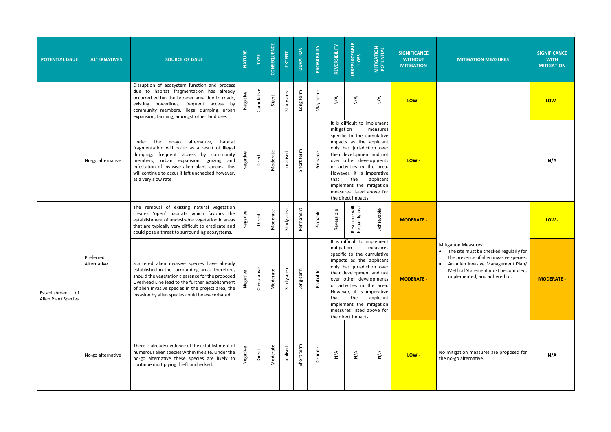| <b>POTENTIAL ISSUE</b>                  | <b>ALTERNATIVES</b>      | <b>SOURCE OF ISSUE</b>                                                                                                                                                                                                                                                                                              | <b>NATURE</b> | TYPE       | CONSEQUENCE | EXTENT        | <b>DURATION</b> | PROBABILITY  | REVERSIBILITY       | <b>IRREPLACEABLE</b>                                                                                                                                                                                                                                                                                                           | <b>MITIGATION</b><br>POTENTIAL | <b>SIGNIFICANCE</b><br><b>WITHOUT</b><br><b>MITIGATION</b> | <b>MITIGATION MEASURES</b>                                                                                                                                                                                                       | <b>SIGNIFICANCE</b><br><b>WITH</b><br><b>MITIGATION</b> |
|-----------------------------------------|--------------------------|---------------------------------------------------------------------------------------------------------------------------------------------------------------------------------------------------------------------------------------------------------------------------------------------------------------------|---------------|------------|-------------|---------------|-----------------|--------------|---------------------|--------------------------------------------------------------------------------------------------------------------------------------------------------------------------------------------------------------------------------------------------------------------------------------------------------------------------------|--------------------------------|------------------------------------------------------------|----------------------------------------------------------------------------------------------------------------------------------------------------------------------------------------------------------------------------------|---------------------------------------------------------|
|                                         |                          | Disruption of ecosystem function and process<br>due to habitat fragmentation has already<br>occurred within the broader area due to roads,<br>existing powerlines, frequent access by<br>community members, illegal dumping, urban<br>expansion, farming, amongst other land uses                                   | Negative      | Cumulative | Slight      | area<br>Study | Long term       | occur<br>Vay | $\sum_{\mathsf{N}}$ | $\sum_{\mathbf{N}}$                                                                                                                                                                                                                                                                                                            | $\frac{4}{5}$                  | LOW-                                                       |                                                                                                                                                                                                                                  | LOW-                                                    |
|                                         | No-go alternative        | the<br>no-go alternative,<br>habitat<br>Under<br>fragmentation will occur as a result of illegal<br>dumping, frequent access by community<br>members, urban expansion, grazing and<br>infestation of invasive alien plant species. This<br>will continue to occur if left unchecked however,<br>at a very slow rate |               | Direct     | Moderate    | Localised     | Short term      | Probable     | mitigation<br>that  | It is difficult to implement<br>specific to the cumulative<br>impacts as the applicant<br>only has jurisdiction over<br>their development and not<br>over other developments<br>or activities in the area.<br>However, it is imperative<br>the<br>implement the mitigation<br>measures listed above for<br>the direct impacts. | measures<br>applicant          | LOW-                                                       |                                                                                                                                                                                                                                  | N/A                                                     |
|                                         |                          | The removal of existing natural vegetation<br>creates 'open' habitats which favours the<br>establishment of undesirable vegetation in areas<br>that are typically very difficult to eradicate and<br>could pose a threat to surrounding ecosystems.                                                                 | Negative      | Direct     | Moderate    | area<br>Study | Permanent       | Probable     | Reversible          | Resource will<br>be partly lost                                                                                                                                                                                                                                                                                                | Achievable                     | <b>MODERATE -</b>                                          |                                                                                                                                                                                                                                  | LOW-                                                    |
| Establishment of<br>Alien Plant Species | Preferred<br>Alternative | Scattered alien invasive species have already<br>established in the surrounding area. Therefore,<br>should the vegetation clearance for the proposed<br>Overhead Line lead to the further establishment<br>of alien invasive species in the project area, the<br>invasion by alien species could be exacerbated.    | Negative      | Cumulative | Moderate    | area<br>Study | Long-term       | Probable     | mitigation<br>that  | It is difficult to implement<br>specific to the cumulative<br>impacts as the applicant<br>only has jurisdiction over<br>their development and not<br>over other developments<br>or activities in the area.<br>However, it is imperative<br>the<br>implement the mitigation<br>measures listed above for<br>the direct impacts. | measures<br>applicant          | <b>MODERATE -</b>                                          | <b>Mitigation Measures:</b><br>• The site must be checked regularly for<br>the presence of alien invasive species.<br>• An Alien Invasive Management Plan/<br>Method Statement must be compiled,<br>implemented, and adhered to. | <b>MODERATE -</b>                                       |
|                                         | No-go alternative        | There is already evidence of the establishment of<br>numerous alien species within the site. Under the<br>no-go alternative these species are likely to<br>continue multiplying if left unchecked.                                                                                                                  | Negative      | Direct     | Moderate    | Localised     | Short term      | Definite     | $\sum_{i=1}^{n}$    | $\sum_{\mathbf{N}}$                                                                                                                                                                                                                                                                                                            | $\sum_{i=1}^{n}$               | LOW-                                                       | No mitigation measures are proposed for<br>the no-go alternative.                                                                                                                                                                | N/A                                                     |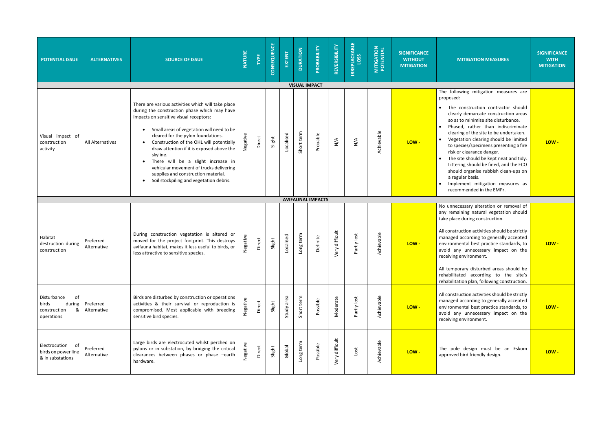| <b>POTENTIAL ISSUE</b>                                                  | <b>ALTERNATIVES</b>      | <b>SOURCE OF ISSUE</b>                                                                                                                                                                                                                                                                                                                                                                                                                                                                                  | <b>NATURE</b> | TYPE   | CONSEQUENCE | EXTENT     | <b>DURATION</b> | PROBABILITY                          | REVERSIBILITY  | <b>IRREPLACEABLE</b><br>LOSS | <b>MITIGATION<br/>POTENTIAL</b> | <b>SIGNIFICANCE</b><br><b>WITHOUT</b><br><b>MITIGATION</b> | <b>MI</b>                                                                                                                                                                                                                                                |
|-------------------------------------------------------------------------|--------------------------|---------------------------------------------------------------------------------------------------------------------------------------------------------------------------------------------------------------------------------------------------------------------------------------------------------------------------------------------------------------------------------------------------------------------------------------------------------------------------------------------------------|---------------|--------|-------------|------------|-----------------|--------------------------------------|----------------|------------------------------|---------------------------------|------------------------------------------------------------|----------------------------------------------------------------------------------------------------------------------------------------------------------------------------------------------------------------------------------------------------------|
| Visual impact of<br>construction<br>activity                            | All Alternatives         | There are various activities which will take place<br>during the construction phase which may have<br>impacts on sensitive visual receptors:<br>Small areas of vegetation will need to be<br>cleared for the pylon foundations.<br>Construction of the OHL will potentially<br>draw attention if it is exposed above the<br>skyline.<br>There will be a slight increase in<br>vehicular movement of trucks delivering<br>supplies and construction material.<br>Soil stockpiling and vegetation debris. | Negative      | Direct | Slight      | Localised  | Short term      | <b>VISUAL IMPACT</b><br>Probable     | $\frac{4}{2}$  | N/A                          | Achievable                      | LOW-                                                       | The followi<br>proposed:<br>The co<br>$\bullet$<br>clearly<br>so as to<br>Phased,<br>$\bullet$<br>clearing<br>Vegetat<br>$\bullet$<br>to speci<br>risk or c<br>The site<br>$\bullet$<br>Littering<br>should<br>a regula<br>Implem<br>$\bullet$<br>recomm |
| Habitat<br>destruction during<br>construction                           | Preferred<br>Alternative | During construction vegetation is altered or<br>moved for the project footprint. This destroys<br>avifauna habitat, makes it less useful to birds, or<br>less attractive to sensitive species.                                                                                                                                                                                                                                                                                                          | Negative      | Direct | Slight      | Localised  | Long term       | <b>AVIFAUNAL IMPACTS</b><br>Definite | Very difficult | Partly lost                  | Achievable                      | LOW-                                                       | No unneces<br>any remaini<br>take place d<br>All construct<br>managed ac<br>environmen<br>avoid any<br>receiving en<br>All tempora<br>rehabilitated<br>rehabilitatio                                                                                     |
| Disturbance<br>of<br>during<br>birds<br>&<br>construction<br>operations | Preferred<br>Alternative | Birds are disturbed by construction or operations<br>activities & their survival or reproduction is<br>compromised. Most applicable with breeding<br>sensitive bird species.                                                                                                                                                                                                                                                                                                                            | Negative      | Direct | Slight      | Study area | Short term      | Possible                             | Moderate       | Partly lost                  | Achievable                      | LOW-                                                       | All construct<br>managed ac<br>environmen<br>avoid any<br>receiving en                                                                                                                                                                                   |
| Electrocution of<br>birds on power line<br>& in substations             | Preferred<br>Alternative | Large birds are electrocuted whilst perched on<br>pylons or in substation, by bridging the critical<br>clearances between phases or phase -earth<br>hardware.                                                                                                                                                                                                                                                                                                                                           | Negative      | Direct | Slight      | Global     | Long term       | Possible                             | Very difficult | Lost                         | Achievable                      | LOW-                                                       | The pole<br>approved bi                                                                                                                                                                                                                                  |

| <b>MITIGATION MEASURES</b>                                                                                                                                                                                                                                                                                                                                                                                                                                                                                                                                    | <b>SIGNIFICANCE</b><br><b>WITH</b><br><b>MITIGATION</b> |
|---------------------------------------------------------------------------------------------------------------------------------------------------------------------------------------------------------------------------------------------------------------------------------------------------------------------------------------------------------------------------------------------------------------------------------------------------------------------------------------------------------------------------------------------------------------|---------------------------------------------------------|
|                                                                                                                                                                                                                                                                                                                                                                                                                                                                                                                                                               |                                                         |
| The following mitigation measures are<br>proposed:                                                                                                                                                                                                                                                                                                                                                                                                                                                                                                            |                                                         |
| The construction contractor should<br>clearly demarcate construction areas<br>so as to minimise site disturbance.<br>Phased, rather than indiscriminate<br>٠<br>clearing of the site to be undertaken.<br>Vegetation clearing should be limited<br>٠<br>to species/specimens presenting a fire<br>risk or clearance danger.<br>The site should be kept neat and tidy.<br>$\bullet$<br>Littering should be fined, and the ECO<br>should organise rubbish clean-ups on<br>a regular basis.<br>Implement mitigation measures as<br>٠<br>recommended in the EMPr. | LOW -                                                   |
|                                                                                                                                                                                                                                                                                                                                                                                                                                                                                                                                                               |                                                         |
| No unnecessary alteration or removal of<br>any remaining natural vegetation should<br>take place during construction.<br>All construction activities should be strictly<br>managed according to generally accepted<br>environmental best practice standards, to<br>avoid any unnecessary impact on the<br>receiving environment.<br>All temporary disturbed areas should be<br>rehabilitated<br>according to<br>the<br>site's<br>rehabilitation plan, following construction.                                                                                 | LOW-                                                    |
| All construction activities should be strictly<br>managed according to generally accepted<br>environmental best practice standards, to<br>avoid any unnecessary impact on the<br>receiving environment.                                                                                                                                                                                                                                                                                                                                                       | LOW-                                                    |
| The pole design must be an<br>Eskom<br>approved bird friendly design.                                                                                                                                                                                                                                                                                                                                                                                                                                                                                         | LOW -                                                   |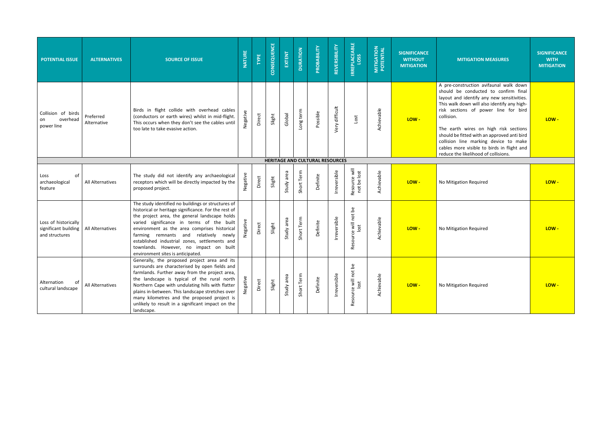| <b>POTENTIAL ISSUE</b>                                         | <b>ALTERNATIVES</b>      | <b>SOURCE OF ISSUE</b>                                                                                                                                                                                                                                                                                                                                                                                                            | <b>NATURE</b> | TYPE   | CONSEQUENCE | EXTENT        | <b>DURATION</b> | PROBABILITY                            | REVERSIBILITY  | <b>IRREPLACEABLE</b><br>LOSS | <b>MITIGATION<br/>POTENTIAL</b> | <b>SIGNIFICANCE</b><br><b>WITHOUT</b><br><b>MITIGATION</b> | <b>MITIGATION MEASURES</b>                                                                                                                                                                                                                                                                                                                                                                                                                               | <b>SIGNIFICANCE</b><br><b>WITH</b><br><b>MITIGATION</b> |
|----------------------------------------------------------------|--------------------------|-----------------------------------------------------------------------------------------------------------------------------------------------------------------------------------------------------------------------------------------------------------------------------------------------------------------------------------------------------------------------------------------------------------------------------------|---------------|--------|-------------|---------------|-----------------|----------------------------------------|----------------|------------------------------|---------------------------------|------------------------------------------------------------|----------------------------------------------------------------------------------------------------------------------------------------------------------------------------------------------------------------------------------------------------------------------------------------------------------------------------------------------------------------------------------------------------------------------------------------------------------|---------------------------------------------------------|
| Collision of birds<br>overhead<br>on<br>power line             | Preferred<br>Alternative | Birds in flight collide with overhead cables<br>(conductors or earth wires) whilst in mid-flight.<br>This occurs when they don't see the cables until<br>too late to take evasive action.                                                                                                                                                                                                                                         | Negative      | Direct | Slight      | Global        | Long term       | Possible                               | very difficult | Lost                         | Achievable                      | LOW-                                                       | A pre-construction avifaunal walk down<br>should be conducted to confirm final<br>layout and identify any new sensitivities.<br>This walk down will also identify any high-<br>risk sections of power line for bird<br>collision.<br>The earth wires on high risk sections<br>should be fitted with an approved anti bird<br>collision line marking device to make<br>cables more visible to birds in flight and<br>reduce the likelihood of collisions. | LOW-                                                    |
|                                                                |                          |                                                                                                                                                                                                                                                                                                                                                                                                                                   |               |        |             |               |                 | <b>HERITAGE AND CULTURAL RESOURCES</b> |                |                              |                                 |                                                            |                                                                                                                                                                                                                                                                                                                                                                                                                                                          |                                                         |
| of<br>Loss<br>archaeological<br>feature                        | All Alternatives         | The study did not identify any archaeological<br>receptors which will be directly impacted by the<br>proposed project.                                                                                                                                                                                                                                                                                                            | Negative      | Direct | Slight      | area<br>Study | Short Term      | Definite                               | Irreversible   | Resource will<br>not be lost | Achievable                      | LOW-                                                       | No Mitigation Required                                                                                                                                                                                                                                                                                                                                                                                                                                   | LOW-                                                    |
| Loss of historically<br>significant building<br>and structures | All Alternatives         | The study identified no buildings or structures of<br>historical or heritage significance. For the rest of<br>the project area, the general landscape holds<br>varied significance in terms of the built<br>environment as the area comprises historical<br>farming remnants and relatively newly<br>established industrial zones, settlements and<br>townlands. However, no impact on built<br>environment sites is anticipated. |               | Direct | Slight      | Study area    | Short Term      | Definite                               | Irreversible   | Resource will not be<br>lost | Achievable                      | LOW-                                                       | No Mitigation Required                                                                                                                                                                                                                                                                                                                                                                                                                                   | LOW-                                                    |
| Alternation<br>0f<br>cultural landscape                        | All Alternatives         | Generally, the proposed project area and its<br>surrounds are characterised by open fields and<br>farmlands. Further away from the project area,<br>the landscape is typical of the rural north<br>Northern Cape with undulating hills with flatter<br>plains in-between. This landscape stretches over<br>many kilometres and the proposed project is<br>unlikely to result in a significant impact on the<br>landscape.         | تو<br>ح       | Direct | Slight      | area<br>Study | Term<br>Short   | Definite                               | Irreversible   | Resource will not be<br>lost | Achievable                      | LOW-                                                       | No Mitigation Required                                                                                                                                                                                                                                                                                                                                                                                                                                   | LOW-                                                    |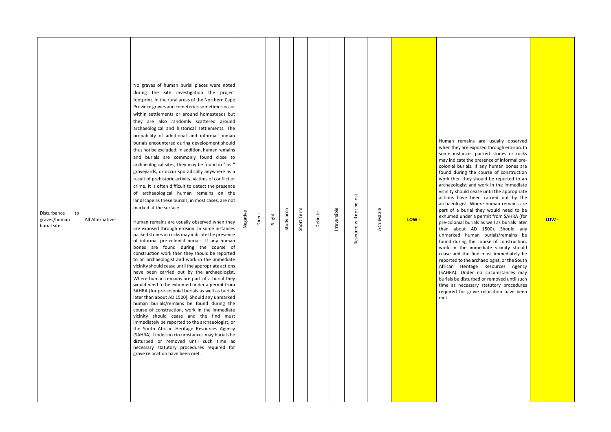| Disturbance<br>to<br>graves/human<br>burial sites | All Alternatives | No graves of human burial places were noted<br>during the site investigation the project<br>footprint. In the rural areas of the Northern Cape<br>Province graves and cemeteries sometimes occur<br>within settlements or around homesteads but<br>they are also randomly scattered around<br>archaeological and historical settlements. The<br>probability of additional and informal human<br>burials encountered during development should<br>thus not be excluded. In addition, human remains<br>and burials are commonly found close to<br>archaeological sites; they may be found in "lost"<br>graveyards, or occur sporadically anywhere as a<br>result of prehistoric activity, victims of conflict or<br>crime. It is often difficult to detect the presence<br>of archaeological human remains on the<br>landscape as these burials, in most cases, are not<br>marked at the surface.<br>Human remains are usually observed when they<br>are exposed through erosion. In some instances<br>packed stones or rocks may indicate the presence<br>of informal pre-colonial burials. If any human<br>bones are found during the course of<br>construction work then they should be reported<br>to an archaeologist and work in the immediate<br>vicinity should cease until the appropriate actions<br>have been carried out by the archaeologist.<br>Where human remains are part of a burial they<br>would need to be exhumed under a permit from<br>SAHRA (for pre-colonial burials as well as burials<br>later than about AD 1500). Should any unmarked<br>human burials/remains be found during the<br>course of construction, work in the immediate<br>vicinity should cease and the find must<br>immediately be reported to the archaeologist, or<br>the South African Heritage Resources Agency<br>(SAHRA). Under no circumstances may burials be<br>disturbed or removed until such time as<br>necessary statutory procedures required for<br>grave relocation have been met. | Negative | Direct | Slight | Study area | Short Term | Definite | Irreversible | Resource will not be lost | Achievable | LOW- | Human<br>when th<br>some in<br>may indi<br>colonial<br>found d<br>work the<br>archaeo<br>vicinity s<br>actions<br>archaeo<br>part of<br>exhume<br>pre-colo<br>than a<br>unmarke<br>found d<br>work in<br>cease ar<br>reported<br>African<br>(SAHRA)<br>burials b<br>time as<br>required<br>met. |
|---------------------------------------------------|------------------|----------------------------------------------------------------------------------------------------------------------------------------------------------------------------------------------------------------------------------------------------------------------------------------------------------------------------------------------------------------------------------------------------------------------------------------------------------------------------------------------------------------------------------------------------------------------------------------------------------------------------------------------------------------------------------------------------------------------------------------------------------------------------------------------------------------------------------------------------------------------------------------------------------------------------------------------------------------------------------------------------------------------------------------------------------------------------------------------------------------------------------------------------------------------------------------------------------------------------------------------------------------------------------------------------------------------------------------------------------------------------------------------------------------------------------------------------------------------------------------------------------------------------------------------------------------------------------------------------------------------------------------------------------------------------------------------------------------------------------------------------------------------------------------------------------------------------------------------------------------------------------------------------------------------------------------------------------------------------------------------|----------|--------|--------|------------|------------|----------|--------------|---------------------------|------------|------|-------------------------------------------------------------------------------------------------------------------------------------------------------------------------------------------------------------------------------------------------------------------------------------------------|

remains are usually observed ey are exposed through erosion. In nstances packed stones or rocks may indicate the presence of informal pre burials. If any human bones are luring the course of construction en they should be reported to an logist and work in the immediate should cease until the appropriate have been carried out by the logist. Where human remains are a burial they would need to be ed under a permit from SAHRA (for onial burials as well as burials later bout AD 1500). Should any ed human burials/remains be luring the course of construction, the immediate vicinity should nd the find must immediately be d to the archaeologist, or the South Heritage Resources Agency ). Under no circumstances may be disturbed or removed until such necessary statutory procedures for grave relocation have been

**LOW -**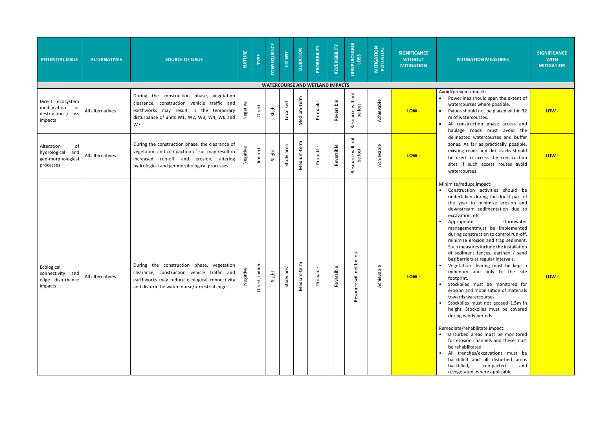### **MITIGATION MEASURES**

### **SIGNIFICANCE WITH MITIGATION**

ent impact:

ines should span the extent of burses where possible.

should not be placed within 32 atercourses.

struction phase access and roads must avoid the ted watercourses and buffer As far as practically possible, roads and dirt tracks should be used to access the construction **LOW - LOW**  such access routes avoid purses.

educe impact:

activities should be aken during the driest part of ar to minimize erosion and ream sedimentation due to ion, etc.

riate stormwater ementmust be implemented construction to control run-off, ze erosion and trap sediment. easures include the installation ment fences, earthen / sand riers at regular intervals.

| <b>POTENTIAL ISSUE</b>                                                    | <b>ALTERNATIVES</b> | <b>SOURCE OF ISSUE</b>                                                                                                                                                                        | <b>NATURE</b> | TYPE             | CONSEQUENCE | EXTENT        | <b>DURATION</b> | PROBABILITY                            | REVERSIBILITY | <b>IRREPLACEABLE</b><br>LOSS    | <b>MITIGATION</b><br>POTENTIAL | <b>SIGNIFICANCE</b><br><b>WITHOUT</b><br><b>MITIGATION</b> | <b>MI</b>                                                                                                                                                                                                                                                                                                                                                                                                                    |
|---------------------------------------------------------------------------|---------------------|-----------------------------------------------------------------------------------------------------------------------------------------------------------------------------------------------|---------------|------------------|-------------|---------------|-----------------|----------------------------------------|---------------|---------------------------------|--------------------------------|------------------------------------------------------------|------------------------------------------------------------------------------------------------------------------------------------------------------------------------------------------------------------------------------------------------------------------------------------------------------------------------------------------------------------------------------------------------------------------------------|
|                                                                           |                     |                                                                                                                                                                                               |               |                  |             |               |                 | <b>WATERCOURSE AND WETLAND IMPACTS</b> |               |                                 |                                |                                                            |                                                                                                                                                                                                                                                                                                                                                                                                                              |
| Direct ecosystem<br>modification<br>or<br>destruction / loss<br>impacts   | All alternatives    | During the construction phase, vegetation<br>clearance, construction vehicle traffic and<br>earthworks may result in the temporary<br>disturbance of units W1, W2, W3, W4, W6 and<br>W7.      | Negative      | Direct           | Slight      | Localised     | Medium-term     | Probable                               | Reversible    | Resource will not<br>be lost    | Achievable                     | LOW-                                                       | Avoid/preve<br>Powerli<br>$\bullet$<br>waterco<br>Pylons s<br>$\bullet$<br>m of wa<br>All con<br>$\bullet$<br>haulage                                                                                                                                                                                                                                                                                                        |
| Alteration<br>of<br>hydrological<br>and<br>geo-morphological<br>processes | All alternatives    | During the construction phase, the clearance of<br>vegetation and compaction of soil may result in<br>increased run-off and erosion, altering<br>hydrological and geomorphological processes. | Negative      | Indirect         | Slight      | Study area    | Medium-term     | Probable                               | Reversible    | Resource will not<br>be lost    | Achievable                     | LOW-                                                       | delineat<br>zones.<br>existing<br>be used<br>sites if<br>waterco                                                                                                                                                                                                                                                                                                                                                             |
| Ecological<br>connectivity and<br>edge disturbance<br>impacts             | All alternatives    | During the construction phase, vegetation<br>clearance, construction vehicle traffic and<br>earthworks may reduce ecological connectivity<br>and disturb the watercourse/terrestrial edge.    | Negative      | Direct, indirect | Slight      | area<br>Study | Medium-term     | Probable                               | Reversible    | be lost<br>not<br>Resource will | Achievable                     | LOW-                                                       | Minimize/re<br>Constru<br>$\bullet$<br>underta<br>the yea<br>downst<br>excavat<br>Approp<br>$\bullet$<br>manage<br>during o<br>minimiz<br>Such me<br>of sedir<br>bag bar<br>Vegetat<br>minimu<br>footprin<br>Stockpil<br>$\bullet$<br>erosion<br>towards<br>Stockpil<br>$\bullet$<br>height.<br>during v<br>Remediate/<br><b>Disturb</b><br>for eros<br>be reha<br>All tre<br>$\bullet$<br>backfille<br>backfille<br>reveget |

tion clearing must be kept a im and only to the site nt. **LOW - LOW -**

les must be monitored for and mobilisation of materials s watercourses.

les must not exceed 1.5m in Stockpiles must be covered windy periods.

rehabilitate impact:

ed areas must be monitored sion channels and these must bilitated.

excavations must be ed and all disturbed areas ed, compacted and tated, where applicable.

**LOW -**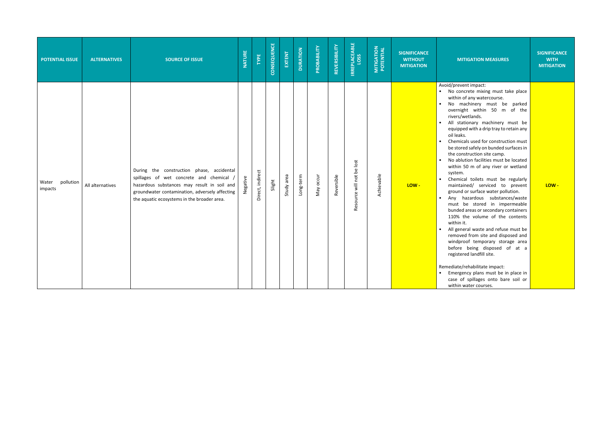| <b>POTENTIAL ISSUE</b>        | <b>ALTERNATIVES</b> | <b>SOURCE OF ISSUE</b>                                                                                                                                                                                                              | <b>NATURE</b> | TYPE             | CONSEQUENCE | EXTENT     | <b>DURATION</b> | PROBABILITY | REVERSIBILITY | <b>IRREPLACEABLE</b>      | <b>MITIGATION</b><br>POTENTIAL | <b>SIGNIFICANCE</b><br><b>WITHOUT</b><br><b>MITIGATION</b> | <b>MITIGATION MEASURES</b>                                                                                                                                                                                                                                                                                                                                                                                                                                                                                                                                                                                                                                                                                                                                                                                                                                                                                                                                                                                                                                                                     | <b>SIGNIFICANCE</b><br><b>WITH</b><br><b>MITIGATION</b> |
|-------------------------------|---------------------|-------------------------------------------------------------------------------------------------------------------------------------------------------------------------------------------------------------------------------------|---------------|------------------|-------------|------------|-----------------|-------------|---------------|---------------------------|--------------------------------|------------------------------------------------------------|------------------------------------------------------------------------------------------------------------------------------------------------------------------------------------------------------------------------------------------------------------------------------------------------------------------------------------------------------------------------------------------------------------------------------------------------------------------------------------------------------------------------------------------------------------------------------------------------------------------------------------------------------------------------------------------------------------------------------------------------------------------------------------------------------------------------------------------------------------------------------------------------------------------------------------------------------------------------------------------------------------------------------------------------------------------------------------------------|---------------------------------------------------------|
| pollution<br>Water<br>impacts | All alternatives    | During the construction phase, accidental<br>spillages of wet concrete and chemical<br>hazardous substances may result in soil and<br>groundwater contamination, adversely affecting<br>the aquatic ecosystems in the broader area. | Negative      | Direct, indirect | Slight      | Study area | Long-term       | May occur   | Reversible    | Resource will not be lost | Achievable                     | LOW-                                                       | Avoid/prevent impact:<br>• No concrete mixing must take place<br>within of any watercourse.<br>No machinery must be parked<br>overnight within 50 m of the<br>rivers/wetlands.<br>All stationary machinery must be<br>equipped with a drip tray to retain any<br>oil leaks.<br>Chemicals used for construction must<br>be stored safely on bunded surfaces in<br>the construction site camp.<br>No ablution facilities must be located<br>within 50 m of any river or wetland<br>system.<br>Chemical toilets must be regularly<br>maintained/ serviced to prevent<br>ground or surface water pollution.<br>Any hazardous substances/waste<br>must be stored in impermeable<br>bunded areas or secondary containers<br>110% the volume of the contents<br>within it.<br>All general waste and refuse must be<br>removed from site and disposed and<br>windproof temporary storage area<br>before being disposed of at a<br>registered landfill site.<br>Remediate/rehabilitate impact:<br>• Emergency plans must be in place in<br>case of spillages onto bare soil or<br>within water courses. | LOW-                                                    |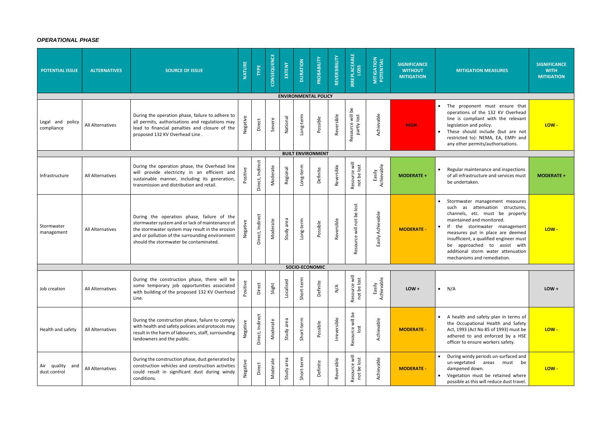# *OPERATIONAL PHASE*

| <b>POTENTIAL ISSUE</b>          | <b>ALTERNATIVES</b>     | <b>SOURCE OF ISSUE</b>                                                                                                                                                                                                                        | <b>NATURE</b> | <b>TYPE</b>      | CONSEQUENCE | EXTENT        | <b>DURATION</b> | PROBABILITY                 | REVERSIBILITY       | <b>IRREPLACEABLE</b>            | <b>MITIGATION</b><br>POTENTIAL | <b>SIGNIFICANCE</b><br><b>WITHOUT</b><br><b>MITIGATION</b> | <b>MITIGATION MEASURES</b>                                                                                                                                                                                                                                                                                                                            | <b>SIGNIFICANCE</b><br><b>WITH</b><br><b>MITIGATION</b> |
|---------------------------------|-------------------------|-----------------------------------------------------------------------------------------------------------------------------------------------------------------------------------------------------------------------------------------------|---------------|------------------|-------------|---------------|-----------------|-----------------------------|---------------------|---------------------------------|--------------------------------|------------------------------------------------------------|-------------------------------------------------------------------------------------------------------------------------------------------------------------------------------------------------------------------------------------------------------------------------------------------------------------------------------------------------------|---------------------------------------------------------|
|                                 |                         |                                                                                                                                                                                                                                               |               |                  |             |               |                 | <b>ENVIRONMENTAL POLICY</b> |                     |                                 |                                |                                                            |                                                                                                                                                                                                                                                                                                                                                       |                                                         |
| Legal and policy<br>compliance  | All Alternatives        | During the operation phase, failure to adhere to<br>all permits, authorisations and regulations may<br>lead to financial penalties and closure of the<br>proposed 132 KV Overhead Line.                                                       | Negative      | Direct           | Severe      | National      | Long-term       | Possible                    | Reversible          | Resource will be<br>partly lost | Achievable                     | HIGH-                                                      | The proponent must ensure that<br>operations of the 132 KV Overhead<br>line is compliant with the relevant<br>legislation and policy.<br>These should include (but are not<br>restricted to): NEMA, EA, EMPr and<br>any other permits/authorisations.                                                                                                 | LOW-                                                    |
|                                 |                         |                                                                                                                                                                                                                                               |               |                  |             |               |                 | <b>BUILT ENVIRONMENT</b>    |                     |                                 |                                |                                                            |                                                                                                                                                                                                                                                                                                                                                       |                                                         |
| Infrastructure                  | <b>All Alternatives</b> | During the operation phase, the Overhead line<br>will provide electricity in an efficient and<br>sustainable manner, including its generation,<br>transmission and distribution and retail.                                                   | Positive      | Direct, Indirect | Moderate    | Regional      | Long-term       | Definite                    | Reversible          | Resource will<br>not be lost    | Easily<br>Achievable           | <b>MODERATE +</b>                                          | Regular maintenance and inspections<br>of all infrastructure and services must<br>be undertaken.                                                                                                                                                                                                                                                      | <b>MODERATE +</b>                                       |
| Stormwater<br>management        | All Alternatives        | During the operation phase, failure of the<br>stormwater system and or lack of maintenance of<br>the stormwater system may result in the erosion<br>and or pollution of the surrounding environment<br>should the stormwater be contaminated. |               | Direct, Indirect | Moderate    | Study area    | Long-term       | Possible                    | Reversible          | Resource will not be lost       | Easily Achievable              | <b>MODERATE -</b>                                          | Stormwater management measures<br>as attenuation structures,<br>such<br>channels, etc. must be properly<br>maintained and monitored.<br>the stormwater management<br>measures put in place are deemed<br>insufficient, a qualified engineer must<br>be approached to assist with<br>additional storm water attenuation<br>mechanisms and remediation. | LOW-                                                    |
|                                 |                         |                                                                                                                                                                                                                                               |               |                  |             |               | SOCIO-ECONOMIC  |                             |                     |                                 |                                |                                                            |                                                                                                                                                                                                                                                                                                                                                       |                                                         |
| Job creation                    | All Alternatives        | During the construction phase, there will be<br>some temporary job opportunities associated<br>with building of the proposed 132 KV Overhead<br>Line.                                                                                         |               | Direct           | Slight      | Localised     | Short-term      | Definite                    | $\sum_{\mathbf{N}}$ | Resource will<br>not be lost    | Easily<br>Achievable           | $LOW +$                                                    | $\bullet$ N/A                                                                                                                                                                                                                                                                                                                                         | $LOW +$                                                 |
| Health and safety               | All Alternatives        | During the construction phase, failure to comply<br>with health and safety policies and protocols may<br>result in the harm of labourers, staff, surrounding<br>landowners and the public.                                                    |               | Direct, Indirect | Moderate    | area<br>Study | Short-term      | Possible                    | Irreversible        | Resource will be<br>lost        | Achievable                     | <b>MODERATE -</b>                                          | A health and safety plan in terms of<br>$\bullet$<br>the Occupational Health and Safety<br>Act, 1993 (Act No 85 of 1993) must be<br>adhered to and enforced by a HSE<br>officer to ensure workers safety.                                                                                                                                             | LOW-                                                    |
| Air quality and<br>dust control | All Alternatives        | During the construction phase, dust generated by<br>construction vehicles and construction activities<br>could result in significant dust during windy<br>conditions.                                                                         | Negative      | Direct           | Moderate    | Study area    | Short-term      | Definite                    | Reversible          | Resource will<br>not be lost    | Achievable                     | <b>MODERATE -</b>                                          | During windy periods un-surfaced and<br>un-vegetated areas must<br>be<br>dampened down.<br>Vegetation must be retained where<br>$\bullet$<br>possible as this will reduce dust travel.                                                                                                                                                                | LOW-                                                    |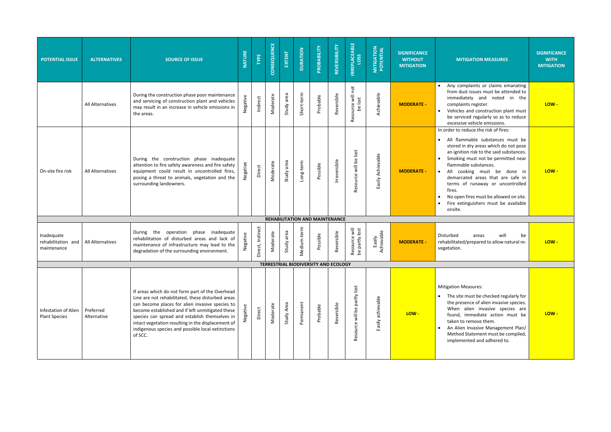| <b>POTENTIAL ISSUE</b>                              | <b>ALTERNATIVES</b>      | <b>SOURCE OF ISSUE</b>                                                                                                                                                                                                                                                                                                                                                              | <b>NATURE</b> | TYPE             | CONSEQUENCE | EXTENT     | <b>DURATION</b> | PROBABILITY                                | REVERSIBILITY | <b>IRREPLACEABLE</b><br><b>LOSS</b> | <b>MITIGATION<br/>POTENTIAL</b> | <b>SIGNIFICANCE</b><br><b>WITHOUT</b><br><b>MITIGATION</b> | <b>MITIGATION</b>                                                                                                                                                                                                                                                               |
|-----------------------------------------------------|--------------------------|-------------------------------------------------------------------------------------------------------------------------------------------------------------------------------------------------------------------------------------------------------------------------------------------------------------------------------------------------------------------------------------|---------------|------------------|-------------|------------|-----------------|--------------------------------------------|---------------|-------------------------------------|---------------------------------|------------------------------------------------------------|---------------------------------------------------------------------------------------------------------------------------------------------------------------------------------------------------------------------------------------------------------------------------------|
|                                                     | All Alternatives         | During the construction phase poor maintenance<br>and servicing of construction plant and vehicles<br>may result in an increase in vehicle emissions in<br>the areas.                                                                                                                                                                                                               | Negative      | Indirect         | Moderate    | Study area | Short-term      | Probable                                   | Reversible    | Resource will not<br>be lost        | Achievable                      | <b>MODERATE -</b>                                          | Any complaints o<br>from dust issues<br>immediately an<br>complaints regist<br>Vehicles and con<br>$\bullet$<br>be serviced regul<br>excessive vehicle                                                                                                                          |
| On-site fire risk                                   | <b>All Alternatives</b>  | During the construction phase inadequate<br>attention to fire safety awareness and fire safety<br>equipment could result in uncontrolled fires,<br>posing a threat to animals, vegetation and the<br>surrounding landowners.                                                                                                                                                        | Negative      | Direct           | Moderate    | Study area | Long-term       | Possible                                   | Irreversible  | Resource will be lost               | Easily Achievable               | <b>MODERATE -</b>                                          | In order to reduce the<br>All flammable s<br>$\bullet$<br>stored in dry area<br>an ignition risk to<br>Smoking must no<br>flammable substa<br>All<br>cooking m<br>$\bullet$<br>demarcated area<br>terms of runaw<br>fires.<br>No open fires mus<br>Fire extinguisher<br>onsite. |
| Inadequate<br>rehabilitation and<br>maintenance     | All Alternatives         | During the<br>operation phase inadequate<br>rehabilitation of disturbed areas and lack of<br>maintenance of infrastructure may lead to the<br>degradation of the surrounding environment.                                                                                                                                                                                           | Negative      | Direct, Indirect | Moderate    | Study area | Medium-term     | REHABILITATION AND MAINTENANCE<br>Possible | Reversible    | Resource will<br>be partly lost     | Easily<br>Achievable            | <b>MODERATE -</b>                                          | Disturbed<br>areas<br>rehabilitated/prepare<br>vegetation.                                                                                                                                                                                                                      |
|                                                     |                          |                                                                                                                                                                                                                                                                                                                                                                                     |               |                  |             |            |                 | TERRESTRIAL BIODIVERSITY AND ECOLOGY       |               |                                     |                                 |                                                            |                                                                                                                                                                                                                                                                                 |
| <b>Infestation of Alien</b><br><b>Plant Species</b> | Preferred<br>Alternative | If areas which do not form part of the Overhead<br>Line are not rehabilitated, these disturbed areas<br>can become places for alien invasive species to<br>become established and if left unmitigated these<br>species can spread and establish themselves in<br>intact vegetation resulting in the displacement of<br>indigenous species and possible local extinctions<br>of SCC. | Negative      | Direct           | Moderate    | Study Area | Permanent       | Probable                                   | Reversible    | Resource will be partly lost        | achievable<br>Easily            | LOW-                                                       | <b>Mitigation Measures:</b><br>The site must be<br>the presence of a<br>When alien in<br>found, immediat<br>taken to remove<br>An Alien Invasive<br><b>Method Statemer</b><br>implemented and                                                                                   |

| <b>MITIGATION MEASURES</b>                                                                                                                                                                                                                                                                                                                                                                                                                                      | <b>SIGNIFICANCE</b><br><b>WITH</b><br><b>MITIGATION</b> |
|-----------------------------------------------------------------------------------------------------------------------------------------------------------------------------------------------------------------------------------------------------------------------------------------------------------------------------------------------------------------------------------------------------------------------------------------------------------------|---------------------------------------------------------|
| Any complaints or claims emanating<br>from dust issues must be attended to<br>immediately and<br>noted in<br>the<br>complaints register.<br>Vehicles and construction plant must<br>be serviced regularly so as to reduce<br>excessive vehicle emissions.                                                                                                                                                                                                       | LOW -                                                   |
| In order to reduce the risk of fires:<br>All flammable substances must be<br>stored in dry areas which do not pose<br>an ignition risk to the said substances.<br>Smoking must not be permitted near<br>flammable substances.<br>All<br>cooking must be done<br>in<br>$\bullet$<br>demarcated areas that are safe in<br>terms of runaway or uncontrolled<br>fires.<br>No open fires must be allowed on site.<br>Fire extinguishers must be available<br>onsite. | LOW-                                                    |
| Disturbed<br>will<br>be<br>areas<br>rehabilitated/prepared to allow natural re-<br>vegetation.                                                                                                                                                                                                                                                                                                                                                                  | LOW-                                                    |
| <b>Mitigation Measures:</b><br>The site must be checked regularly for<br>the presence of alien invasive species.<br>When<br>alien invasive species<br>are<br>found, immediate action<br>must<br>be<br>taken to remove them.<br>An Alien Invasive Management Plan/<br>Method Statement must be compiled,<br>implemented and adhered to.                                                                                                                          | LOW -                                                   |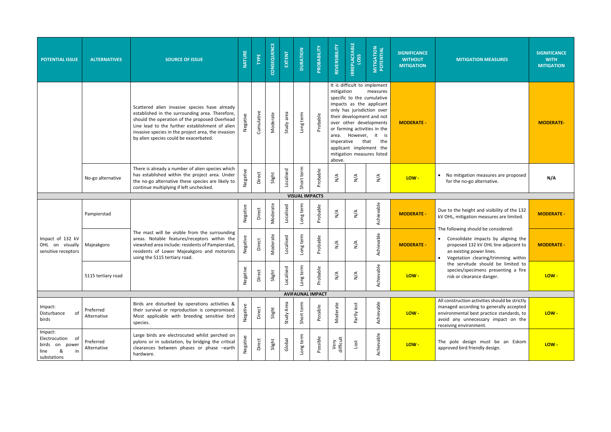| <b>POTENTIAL ISSUE</b>                                                          | <b>ALTERNATIVES</b>      | <b>SOURCE OF ISSUE</b>                                                                                                                                                                                                                                                                               | <b>NATURE</b>         | TYPE       | CONSEQUENCE | EXTENT     | <b>DURATION</b> | PROBABILITY             | REVERSIBILITY                      | <b>IRREPLACEABLE</b><br>LOSS | <b>MITIGATION</b><br>POTENTIAL                                                                                                                                                                                                                                                                                           | <b>SIGNIFICANCE</b><br><b>WITHOUT</b><br><b>MITIGATION</b> | <b>MITIGATION MEASURES</b>                                                                                                                                                 |
|---------------------------------------------------------------------------------|--------------------------|------------------------------------------------------------------------------------------------------------------------------------------------------------------------------------------------------------------------------------------------------------------------------------------------------|-----------------------|------------|-------------|------------|-----------------|-------------------------|------------------------------------|------------------------------|--------------------------------------------------------------------------------------------------------------------------------------------------------------------------------------------------------------------------------------------------------------------------------------------------------------------------|------------------------------------------------------------|----------------------------------------------------------------------------------------------------------------------------------------------------------------------------|
|                                                                                 |                          | Scattered alien invasive species have already<br>established in the surrounding area. Therefore,<br>should the operation of the proposed Overhead<br>Line lead to the further establishment of alien<br>invasive species in the project area, the invasion<br>by alien species could be exacerbated. | Negative              | Cumulative | Moderate    | Study area | Long term       | Probable                | mitigation<br>imperative<br>above. |                              | It is difficult to implement<br>measures<br>specific to the cumulative<br>impacts as the applicant<br>only has jurisdiction over<br>their development and not<br>over other developments<br>or farming activities in the<br>area. However, it is<br>that<br>the<br>applicant implement the<br>mitigation measures listed | <b>MODERATE -</b>                                          |                                                                                                                                                                            |
|                                                                                 | No-go alternative        | There is already a number of alien species which<br>has established within the project area. Under<br>the no-go alternative these species are likely to<br>continue multiplying if left unchecked.                                                                                                   | Negative              | Direct     | Slight      | Localised  | Short term      | Probable                | $\sum_{\mathbf{N}}$                | $\sum_{\mathbf{N}}$          | $\sum_{i=1}^{n}$                                                                                                                                                                                                                                                                                                         | LOW-                                                       | No mitigation measures are pr<br>for the no-go alternative.                                                                                                                |
|                                                                                 |                          |                                                                                                                                                                                                                                                                                                      | <b>VISUAL IMPACTS</b> |            |             |            |                 |                         |                                    |                              |                                                                                                                                                                                                                                                                                                                          |                                                            |                                                                                                                                                                            |
|                                                                                 | Pampierstad              |                                                                                                                                                                                                                                                                                                      |                       | Direct     | Moderate    | Localised  | Long term       | Probable                | $\sum_{\mathbf{N}}$                | $\sum_{\mathbf{N}}$          | Achievable                                                                                                                                                                                                                                                                                                               | <b>MODERATE -</b>                                          | Due to the height and visibility of t<br>kV OHL, mitigation measures are lir                                                                                               |
| Impact of 132 kV<br>OHL on visually<br>sensitive receptors                      | Majeakgoro               | The mast will be visible from the surrounding<br>areas. Notable features/receptors within the<br>viewshed area include: residents of Pampierstad,<br>residents of Lower Majeakgoro and motorists<br>using the 5115 tertiary road.                                                                    | Negative              | Direct     | Moderate    | Localised  | Long term       | Probable                | $\sum_{\mathbf{N}}$                | $\sum_{\mathbf{N}}$          | Achievable                                                                                                                                                                                                                                                                                                               | <b>MODERATE -</b>                                          | The following should be considered<br>Consolidate impacts by aligni<br>proposed 132 kV OHL line adja<br>an existing power lines.<br>Vegetation clearing/trimming           |
|                                                                                 | 5115 tertiary road       |                                                                                                                                                                                                                                                                                                      | Negative              | Direct     | Slight      | Localised  | ong term        | Probable                | $\sum_{i=1}^{n}$                   | $\sum_{\mathbf{N}}$          | Achievable                                                                                                                                                                                                                                                                                                               | LOW-                                                       | the servitude should be lim<br>species/specimens presenting<br>risk or clearance danger.                                                                                   |
|                                                                                 |                          |                                                                                                                                                                                                                                                                                                      |                       |            |             |            |                 | <b>AVIFAUNAL IMPACT</b> |                                    |                              |                                                                                                                                                                                                                                                                                                                          |                                                            |                                                                                                                                                                            |
| Impact:<br>of<br>Disturbance<br>birds                                           | Preferred<br>Alternative | Birds are disturbed by operations activities &<br>their survival or reproduction is compromised.<br>Most applicable with breeding sensitive bird<br>species.                                                                                                                                         | Negative              | Direct     | Slight      | Study Area | term<br>Short   | Possible                | Moderate                           | Partly lost                  | Achievable                                                                                                                                                                                                                                                                                                               | LOW-                                                       | All construction activities should be<br>managed according to generally ad<br>environmental best practice standa<br>avoid any unnecessary impact<br>receiving environment. |
| Impact:<br>Electrocution of<br>birds on power<br>line<br>&<br>in<br>substations | Preferred<br>Alternative | Large birds are electrocuted whilst perched on<br>pylons or in substation, by bridging the critical<br>clearances between phases or phase -earth<br>hardware.                                                                                                                                        | Negative              | Direct     | Slight      | Global     | Long term       | Possible                | Very<br>difficult                  | lost                         | Achievable                                                                                                                                                                                                                                                                                                               | LOW-                                                       | The pole design must be an<br>approved bird friendly design.                                                                                                               |

| <b>SIGNIFICANCE</b><br><b>WITHOUT</b><br><b>MITIGATION</b> | <b>MITIGATION MEASURES</b>                                                                                                                                                                              | <b>SIGNIFICANCE</b><br><b>WITH</b><br><b>MITIGATION</b> |
|------------------------------------------------------------|---------------------------------------------------------------------------------------------------------------------------------------------------------------------------------------------------------|---------------------------------------------------------|
| <b>MODERATE -</b>                                          |                                                                                                                                                                                                         | <b>MODERATE-</b>                                        |
| $LOW -$                                                    | No mitigation measures are proposed<br>$\bullet$<br>for the no-go alternative.                                                                                                                          | N/A                                                     |
|                                                            |                                                                                                                                                                                                         |                                                         |
| <b>MODERATE -</b>                                          | Due to the height and visibility of the 132<br>kV OHL, mitigation measures are limited.                                                                                                                 | <b>MODERATE -</b>                                       |
| <b>MODERATE -</b>                                          | The following should be considered:<br>Consolidate impacts by aligning the<br>proposed 132 kV OHL line adjacent to<br>an existing power lines.<br>Vegetation clearing/trimming within                   | <b>MODERATE -</b>                                       |
| LOW-                                                       | the servitude should be limited to<br>species/specimens presenting a fire<br>risk or clearance danger.                                                                                                  | LOW-                                                    |
|                                                            |                                                                                                                                                                                                         |                                                         |
| LOW-                                                       | All construction activities should be strictly<br>managed according to generally accepted<br>environmental best practice standards, to<br>avoid any unnecessary impact on the<br>receiving environment. | LOW-                                                    |
| LOW -                                                      | The pole design must be an Eskom<br>approved bird friendly design.                                                                                                                                      | LOW -                                                   |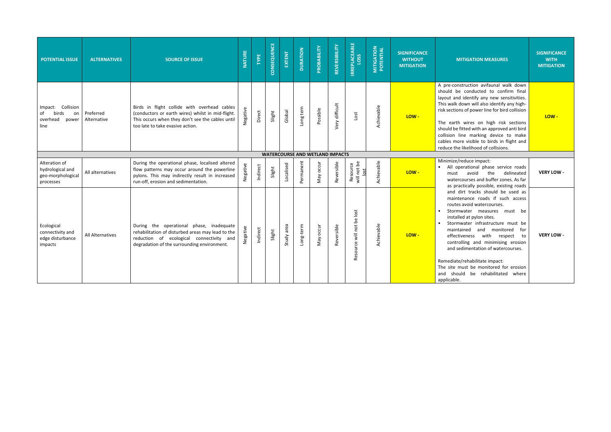| <b>POTENTIAL ISSUE</b>                                                 | <b>ALTERNATIVES</b>      | <b>SOURCE OF ISSUE</b>                                                                                                                                                                    | <b>NATURE</b> | TYPE     | CONSEQUENCE | EXTENT     | <b>DURATION</b> | PROBABILITY                            | REVERSIBILITY  | <b>IRREPLACEABLE</b>           | <b>MITIGATION<br/>POTENTIAL</b> | <b>SIGNIFICANCE</b><br><b>WITHOUT</b><br><b>MITIGATION</b> | <b>MI</b>                                                                                                                                                                            |
|------------------------------------------------------------------------|--------------------------|-------------------------------------------------------------------------------------------------------------------------------------------------------------------------------------------|---------------|----------|-------------|------------|-----------------|----------------------------------------|----------------|--------------------------------|---------------------------------|------------------------------------------------------------|--------------------------------------------------------------------------------------------------------------------------------------------------------------------------------------|
| Collision<br>Impact:<br>birds<br>οf<br>on<br>overhead<br>power<br>line | Preferred<br>Alternative | Birds in flight collide with overhead cables<br>(conductors or earth wires) whilst in mid-flight.<br>This occurs when they don't see the cables until<br>too late to take evasive action. | Negative      | Direct   | Slight      | Global     | Long tern       | Possible                               | Very difficult | Lost                           | Achievable                      | LOW-                                                       | A pre-const<br>should be<br>layout and<br>This walk do<br>risk sections<br>The earth<br>should be fit<br>collision lin<br>cables more<br>reduce the li                               |
|                                                                        |                          |                                                                                                                                                                                           |               |          |             |            |                 | <b>WATERCOURSE AND WETLAND IMPACTS</b> |                |                                |                                 |                                                            |                                                                                                                                                                                      |
| Alteration of<br>hydrological and<br>geo-morphological<br>processes    | All alternatives         | During the operational phase, localised altered<br>flow patterns may occur around the powerline<br>pylons. This may indirectly result in increased<br>run-off, erosion and sedimentation. | Negative      | Indirect | Slight      | Localised  | Permanent       | May occur                              | Reversible     | Resource<br>will not be<br>ost | Achievable                      | LOW-                                                       | Minimize/re<br>All ope<br>$\bullet$<br>must<br>waterco<br>as prac                                                                                                                    |
| Ecological<br>connectivity and<br>edge disturbance<br>impacts          | <b>All Alternatives</b>  | During the operational phase, inadequate<br>rehabilitation of disturbed areas may lead to the<br>reduction of ecological connectivity and<br>degradation of the surrounding environment.  | Negative      | Indirect | Slight      | Study area | Long-term       | May occur                              | Reversible     | Resource will not be lost      | Achievable                      | LOW-                                                       | and dir<br>mainter<br>routes a<br>Stormw<br>installed<br>Stormw<br>$\bullet$<br>maintai<br>effectiv<br>controll<br>and sed<br>Remediate/<br>The site mu<br>and shoule<br>applicable. |

| <b>NIFICANCE</b><br><b>ITHOUT</b><br><b>TIGATION</b> | <b>MITIGATION MEASURES</b>                                                                                                                                                                                                                                                                                                                                                                                                                                                                                               | <b>SIGNIFICANCE</b><br><b>WITH</b><br><b>MITIGATION</b> |
|------------------------------------------------------|--------------------------------------------------------------------------------------------------------------------------------------------------------------------------------------------------------------------------------------------------------------------------------------------------------------------------------------------------------------------------------------------------------------------------------------------------------------------------------------------------------------------------|---------------------------------------------------------|
| LOW -                                                | A pre-construction avifaunal walk down<br>should be conducted to confirm final<br>layout and identify any new sensitivities.<br>This walk down will also identify any high-<br>risk sections of power line for bird collision<br>The earth wires on high risk sections<br>should be fitted with an approved anti bird<br>collision line marking device to make<br>cables more visible to birds in flight and<br>reduce the likelihood of collisions.                                                                     | LOW-                                                    |
|                                                      |                                                                                                                                                                                                                                                                                                                                                                                                                                                                                                                          |                                                         |
| LOW -                                                | Minimize/reduce impact:<br>All operational phase service roads<br>avoid<br>the<br>delineated<br>must<br>watercourses and buffer zones. As far<br>as practically possible, existing roads                                                                                                                                                                                                                                                                                                                                 | <b>VERY LOW -</b>                                       |
| LOW -                                                | and dirt tracks should be used as<br>maintenance roads if such access<br>routes avoid watercourses.<br>Stormwater<br>be<br>measures<br>must<br>installed at pylon sites.<br>Stormwater infrastructure must be<br>maintained<br>and<br>monitored<br>for<br>effectiveness<br>with<br>respect<br>to<br>controlling and minimising erosion<br>and sedimentation of watercourses.<br>Remediate/rehabilitate impact:<br>The site must be monitored for erosion<br>should be rehabilitated<br>and<br>where<br>المساحات والمساور | <b>VERY LOW -</b>                                       |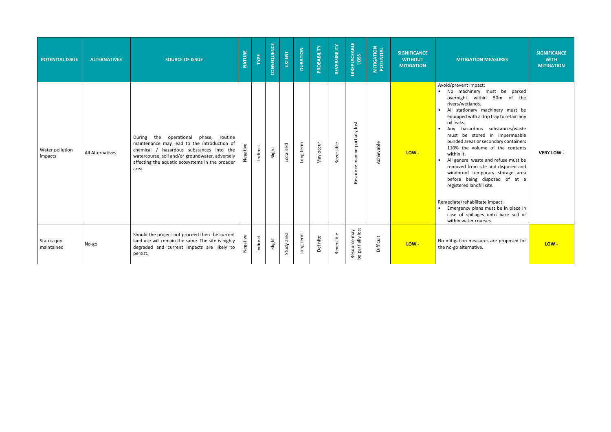| <b>POTENTIAL ISSUE</b>     | <b>ALTERNATIVES</b> | <b>SOURCE OF ISSUE</b>                                                                                                                                                                                                                             | <b>NATURE</b> | TYPE     | CONSEQUENCE | EXTENT     | <b>DURATION</b> | PROBABILITY | REVERSIBILITY | <b>IRREPLACEABLE</b><br>LOSS      | <b>MITIGATION</b><br>POTENTIAL | <b>SIGNIFICANCE</b><br><b>WITHOUT</b><br><b>MITIGATION</b> | <b>MITIGATION MEASURES</b>                                                                                                                                                                                                                                                                                                                                                                                                                                                                                                                                                                                                                                                                        | <b>SIGNIFICANCE</b><br><b>WITH</b><br><b>MITIGATION</b> |
|----------------------------|---------------------|----------------------------------------------------------------------------------------------------------------------------------------------------------------------------------------------------------------------------------------------------|---------------|----------|-------------|------------|-----------------|-------------|---------------|-----------------------------------|--------------------------------|------------------------------------------------------------|---------------------------------------------------------------------------------------------------------------------------------------------------------------------------------------------------------------------------------------------------------------------------------------------------------------------------------------------------------------------------------------------------------------------------------------------------------------------------------------------------------------------------------------------------------------------------------------------------------------------------------------------------------------------------------------------------|---------------------------------------------------------|
| Water pollution<br>impacts | All Alternatives    | During the<br>operational phase, routine<br>maintenance may lead to the introduction of<br>chemical / hazardous substances into the<br>watercourse, soil and/or groundwater, adversely<br>affecting the aquatic ecosystems in the broader<br>area. | Negative      | Indirect | Slight      | Localised  | Long term       | Vlay occur  | Reversible    | Resource may be partially lost    | Achievable                     | LOW-                                                       | Avoid/prevent impact:<br>. No machinery must be parked<br>overnight within 50m of the<br>rivers/wetlands.<br>. All stationary machinery must be<br>equipped with a drip tray to retain any<br>oil leaks.<br>Any hazardous substances/waste<br>must be stored in impermeable<br>bunded areas or secondary containers<br>110% the volume of the contents<br>within it.<br>• All general waste and refuse must be<br>removed from site and disposed and<br>windproof temporary storage area<br>before being disposed of at a<br>registered landfill site.<br>Remediate/rehabilitate impact:<br>• Emergency plans must be in place in<br>case of spillages onto bare soil or<br>within water courses. | <b>VERY LOW -</b>                                       |
| Status-quo<br>maintained   | No-go               | Should the project not proceed then the current<br>land use will remain the same. The site is highly<br>degraded and current impacts are likely to<br>persist.                                                                                     | Negative      | Indirect | Slight      | Study area | Long term       | Definite    | Reversible    | Resource may<br>be partially lost | Difficult                      | LOW-                                                       | No mitigation measures are proposed for<br>the no-go alternative.                                                                                                                                                                                                                                                                                                                                                                                                                                                                                                                                                                                                                                 | LOW-                                                    |